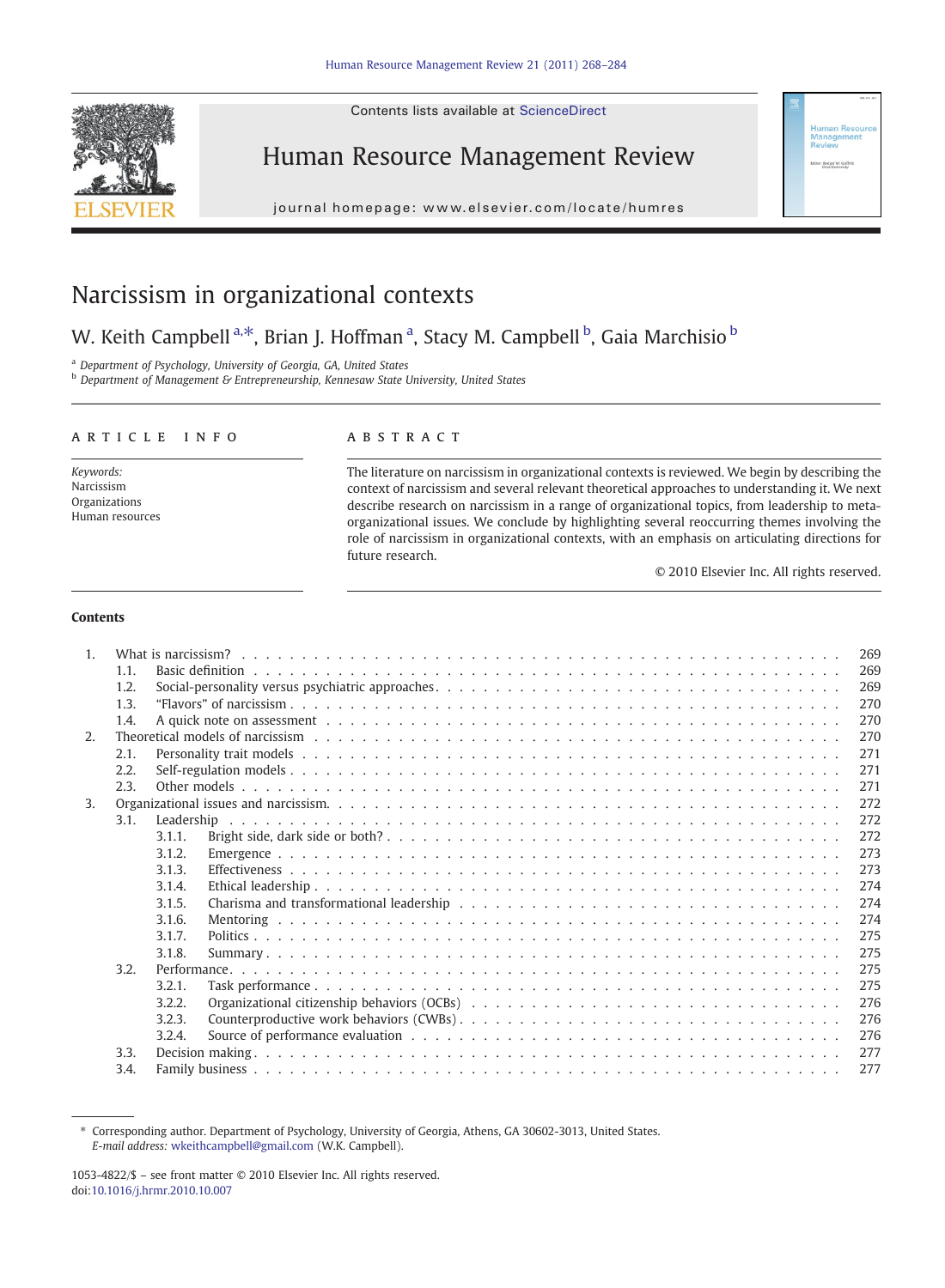Contents lists available at ScienceDirect



Human Resource Management Review

j o u r n a g e  $\mathcal{C}$  . We have  $\mathcal{C}$  is even  $\mathcal{C}$  and  $\mathcal{C}$  are set  $\mathcal{C}$  and  $\mathcal{C}$  are set  $\mathcal{C}$  and  $\mathcal{C}$  are set  $\mathcal{C}$  and  $\mathcal{C}$  are set  $\mathcal{C}$  and  $\mathcal{C}$  are set  $\mathcal{C}$  and  $\mathcal{C$ 

# Narcissism in organizational contexts

# W. Keith Campbell <sup>a, $\ast$ </sup>, Brian J. Hoffman <sup>a</sup>, Stacy M. Campbell <sup>b</sup>, Gaia Marchisio <sup>b</sup>

<sup>a</sup> Department of Psychology, University of Georgia, GA, United States

**b** Department of Management & Entrepreneurship, Kennesaw State University, United States

# article info abstract

Keywords: Narcissism Organizations Human resources

The literature on narcissism in organizational contexts is reviewed. We begin by describing the context of narcissism and several relevant theoretical approaches to understanding it. We next describe research on narcissism in a range of organizational topics, from leadership to metaorganizational issues. We conclude by highlighting several reoccurring themes involving the role of narcissism in organizational contexts, with an emphasis on articulating directions for future research.

© 2010 Elsevier Inc. All rights reserved.

# Contents

| $1_{-}$ | 269                                                                                                                                                                                                                            |                                                                                                                                                                                                                                |            |  |  |  |
|---------|--------------------------------------------------------------------------------------------------------------------------------------------------------------------------------------------------------------------------------|--------------------------------------------------------------------------------------------------------------------------------------------------------------------------------------------------------------------------------|------------|--|--|--|
|         | 1.1.                                                                                                                                                                                                                           |                                                                                                                                                                                                                                | 269        |  |  |  |
|         | 1.2.                                                                                                                                                                                                                           |                                                                                                                                                                                                                                | 269        |  |  |  |
|         | 1.3.                                                                                                                                                                                                                           |                                                                                                                                                                                                                                | 270        |  |  |  |
|         | 1.4.                                                                                                                                                                                                                           |                                                                                                                                                                                                                                | 270        |  |  |  |
|         |                                                                                                                                                                                                                                | A quick note on assessment respectively in the contract of the contract of the contract of the contract of the contract of the contract of the contract of the contract of the contract of the contract of the contract of the |            |  |  |  |
| 2.      | Theoretical models of narcissism (a) contained a series of the content of the content of the content of the content of the content of the content of the content of the content of the content of the content of the content o |                                                                                                                                                                                                                                |            |  |  |  |
|         | 2.1.                                                                                                                                                                                                                           |                                                                                                                                                                                                                                | 271        |  |  |  |
|         | 2.2.                                                                                                                                                                                                                           |                                                                                                                                                                                                                                | 271        |  |  |  |
|         | 2.3.                                                                                                                                                                                                                           |                                                                                                                                                                                                                                | 271<br>272 |  |  |  |
| 3.      |                                                                                                                                                                                                                                |                                                                                                                                                                                                                                |            |  |  |  |
|         | 3.1.                                                                                                                                                                                                                           |                                                                                                                                                                                                                                | 272        |  |  |  |
|         |                                                                                                                                                                                                                                | 3.1.1.                                                                                                                                                                                                                         | 272        |  |  |  |
|         |                                                                                                                                                                                                                                | 3.1.2.                                                                                                                                                                                                                         | 273        |  |  |  |
|         |                                                                                                                                                                                                                                | 3.1.3.                                                                                                                                                                                                                         | 273        |  |  |  |
|         |                                                                                                                                                                                                                                | 3.1.4.                                                                                                                                                                                                                         | 274        |  |  |  |
|         |                                                                                                                                                                                                                                | 3.1.5.                                                                                                                                                                                                                         | 274        |  |  |  |
|         |                                                                                                                                                                                                                                | 3.1.6.                                                                                                                                                                                                                         | 274        |  |  |  |
|         |                                                                                                                                                                                                                                | 3.1.7.                                                                                                                                                                                                                         | 275        |  |  |  |
|         |                                                                                                                                                                                                                                | 3.1.8.                                                                                                                                                                                                                         | 275        |  |  |  |
|         | 3.2.                                                                                                                                                                                                                           |                                                                                                                                                                                                                                | 275        |  |  |  |
|         |                                                                                                                                                                                                                                | 3.2.1.                                                                                                                                                                                                                         | 275        |  |  |  |
|         |                                                                                                                                                                                                                                | 3.2.2.                                                                                                                                                                                                                         | 276        |  |  |  |
|         |                                                                                                                                                                                                                                | 3.2.3.                                                                                                                                                                                                                         | 276        |  |  |  |
|         |                                                                                                                                                                                                                                | 3.2.4.                                                                                                                                                                                                                         | 276        |  |  |  |
|         | 3.3.                                                                                                                                                                                                                           |                                                                                                                                                                                                                                | 277        |  |  |  |
|         | 3.4.                                                                                                                                                                                                                           |                                                                                                                                                                                                                                |            |  |  |  |
|         |                                                                                                                                                                                                                                |                                                                                                                                                                                                                                | 277        |  |  |  |

⁎ Corresponding author. Department of Psychology, University of Georgia, Athens, GA 30602-3013, United States. E-mail address: [wkeithcampbell@gmail.com](mailto:wkeithcampbell@gmail.com) (W.K. Campbell).

<sup>1053-4822/\$</sup> – see front matter © 2010 Elsevier Inc. All rights reserved. doi:[10.1016/j.hrmr.2010.10.007](http://dx.doi.org/10.1016/j.hrmr.2010.10.007)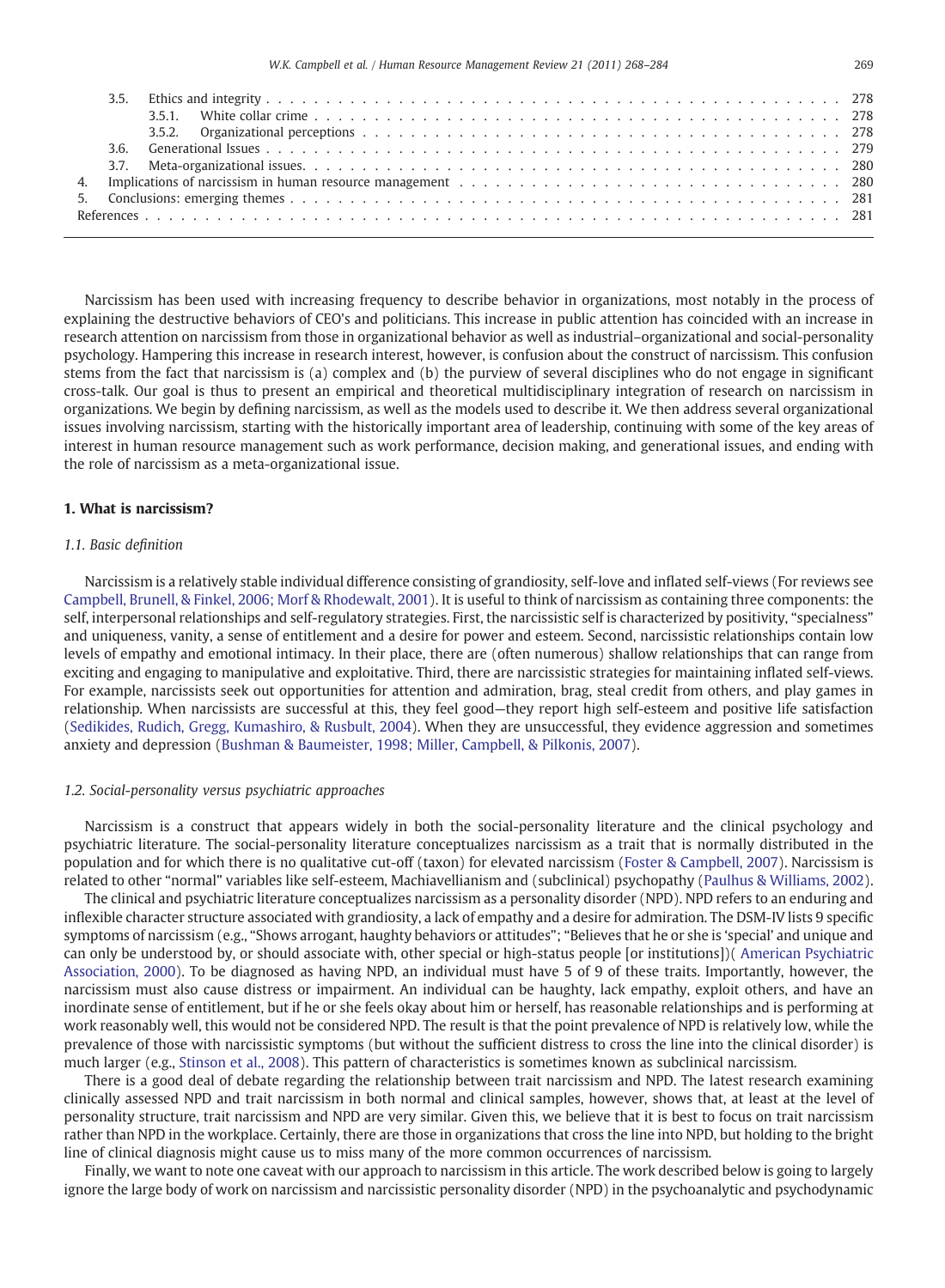| 3.6. |  |  |
|------|--|--|
|      |  |  |
|      |  |  |
|      |  |  |
|      |  |  |
|      |  |  |

Narcissism has been used with increasing frequency to describe behavior in organizations, most notably in the process of explaining the destructive behaviors of CEO's and politicians. This increase in public attention has coincided with an increase in research attention on narcissism from those in organizational behavior as well as industrial–organizational and social-personality psychology. Hampering this increase in research interest, however, is confusion about the construct of narcissism. This confusion stems from the fact that narcissism is (a) complex and (b) the purview of several disciplines who do not engage in significant cross-talk. Our goal is thus to present an empirical and theoretical multidisciplinary integration of research on narcissism in organizations. We begin by defining narcissism, as well as the models used to describe it. We then address several organizational issues involving narcissism, starting with the historically important area of leadership, continuing with some of the key areas of interest in human resource management such as work performance, decision making, and generational issues, and ending with the role of narcissism as a meta-organizational issue.

# 1. What is narcissism?

# 1.1. Basic definition

Narcissism is a relatively stable individual difference consisting of grandiosity, self-love and inflated self-views (For reviews see [Campbell, Brunell, & Finkel, 2006; Morf & Rhodewalt, 2001](#page-13-0)). It is useful to think of narcissism as containing three components: the self, interpersonal relationships and self-regulatory strategies. First, the narcissistic self is characterized by positivity, "specialness" and uniqueness, vanity, a sense of entitlement and a desire for power and esteem. Second, narcissistic relationships contain low levels of empathy and emotional intimacy. In their place, there are (often numerous) shallow relationships that can range from exciting and engaging to manipulative and exploitative. Third, there are narcissistic strategies for maintaining inflated self-views. For example, narcissists seek out opportunities for attention and admiration, brag, steal credit from others, and play games in relationship. When narcissists are successful at this, they feel good—they report high self-esteem and positive life satisfaction [\(Sedikides, Rudich, Gregg, Kumashiro, & Rusbult, 2004\)](#page-16-0). When they are unsuccessful, they evidence aggression and sometimes anxiety and depression ([Bushman & Baumeister, 1998; Miller, Campbell, & Pilkonis, 2007](#page-13-0)).

# 1.2. Social-personality versus psychiatric approaches

Narcissism is a construct that appears widely in both the social-personality literature and the clinical psychology and psychiatric literature. The social-personality literature conceptualizes narcissism as a trait that is normally distributed in the population and for which there is no qualitative cut-off (taxon) for elevated narcissism ([Foster & Campbell, 2007](#page-14-0)). Narcissism is related to other "normal" variables like self-esteem, Machiavellianism and (subclinical) psychopathy [\(Paulhus & Williams, 2002\)](#page-15-0).

The clinical and psychiatric literature conceptualizes narcissism as a personality disorder (NPD). NPD refers to an enduring and inflexible character structure associated with grandiosity, a lack of empathy and a desire for admiration. The DSM-IV lists 9 specific symptoms of narcissism (e.g., "Shows arrogant, haughty behaviors or attitudes"; "Believes that he or she is 'special' and unique and can only be understood by, or should associate with, other special or high-status people [or institutions])( [American Psychiatric](#page-13-0) [Association, 2000](#page-13-0)). To be diagnosed as having NPD, an individual must have 5 of 9 of these traits. Importantly, however, the narcissism must also cause distress or impairment. An individual can be haughty, lack empathy, exploit others, and have an inordinate sense of entitlement, but if he or she feels okay about him or herself, has reasonable relationships and is performing at work reasonably well, this would not be considered NPD. The result is that the point prevalence of NPD is relatively low, while the prevalence of those with narcissistic symptoms (but without the sufficient distress to cross the line into the clinical disorder) is much larger (e.g., [Stinson et al., 2008\)](#page-16-0). This pattern of characteristics is sometimes known as subclinical narcissism.

There is a good deal of debate regarding the relationship between trait narcissism and NPD. The latest research examining clinically assessed NPD and trait narcissism in both normal and clinical samples, however, shows that, at least at the level of personality structure, trait narcissism and NPD are very similar. Given this, we believe that it is best to focus on trait narcissism rather than NPD in the workplace. Certainly, there are those in organizations that cross the line into NPD, but holding to the bright line of clinical diagnosis might cause us to miss many of the more common occurrences of narcissism.

Finally, we want to note one caveat with our approach to narcissism in this article. The work described below is going to largely ignore the large body of work on narcissism and narcissistic personality disorder (NPD) in the psychoanalytic and psychodynamic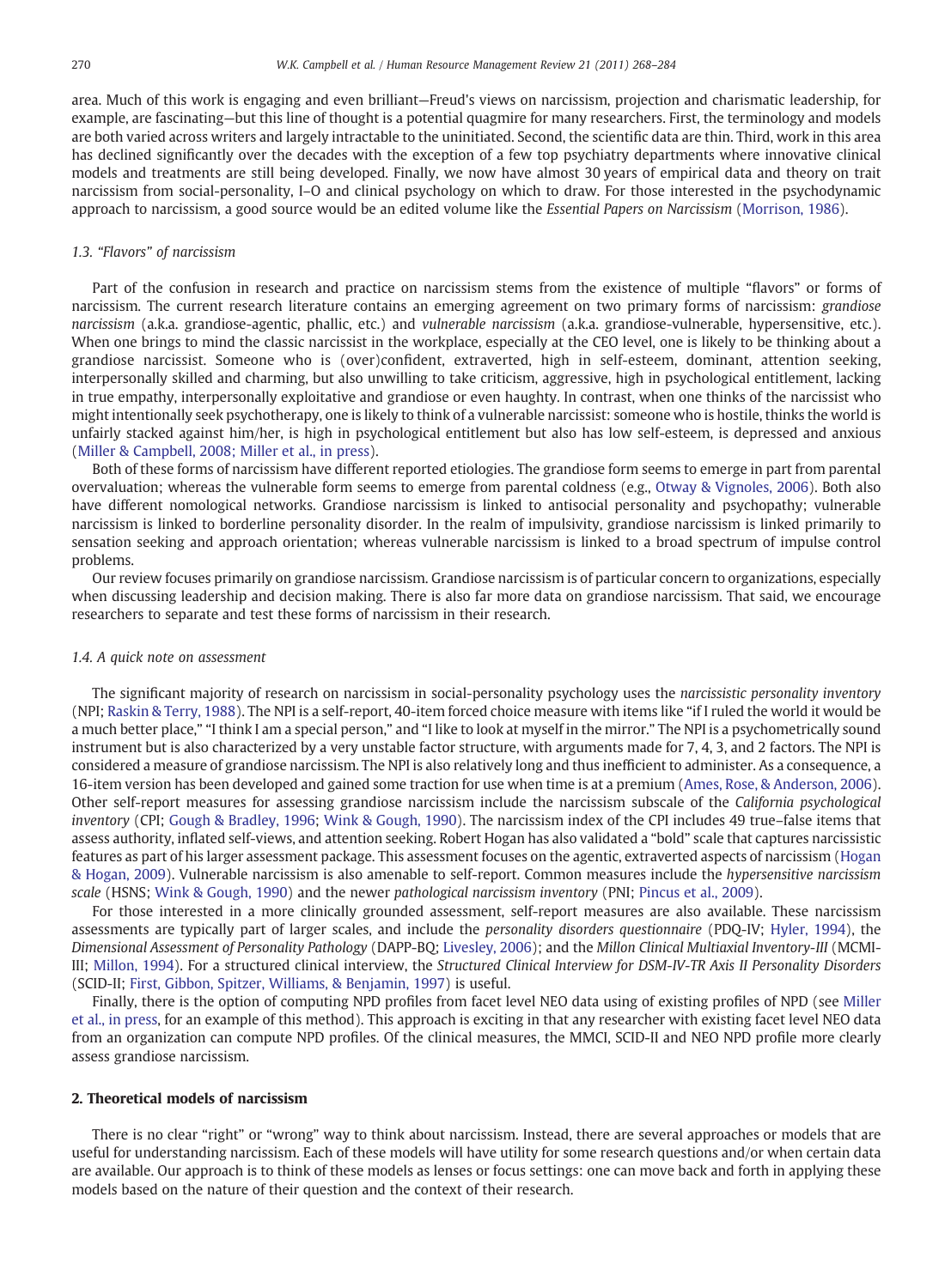area. Much of this work is engaging and even brilliant—Freud's views on narcissism, projection and charismatic leadership, for example, are fascinating—but this line of thought is a potential quagmire for many researchers. First, the terminology and models are both varied across writers and largely intractable to the uninitiated. Second, the scientific data are thin. Third, work in this area has declined significantly over the decades with the exception of a few top psychiatry departments where innovative clinical models and treatments are still being developed. Finally, we now have almost 30 years of empirical data and theory on trait narcissism from social-personality, I–O and clinical psychology on which to draw. For those interested in the psychodynamic approach to narcissism, a good source would be an edited volume like the Essential Papers on Narcissism ([Morrison, 1986](#page-15-0)).

# 1.3. "Flavors" of narcissism

Part of the confusion in research and practice on narcissism stems from the existence of multiple "flavors" or forms of narcissism. The current research literature contains an emerging agreement on two primary forms of narcissism: grandiose narcissism (a.k.a. grandiose-agentic, phallic, etc.) and vulnerable narcissism (a.k.a. grandiose-vulnerable, hypersensitive, etc.). When one brings to mind the classic narcissist in the workplace, especially at the CEO level, one is likely to be thinking about a grandiose narcissist. Someone who is (over)confident, extraverted, high in self-esteem, dominant, attention seeking, interpersonally skilled and charming, but also unwilling to take criticism, aggressive, high in psychological entitlement, lacking in true empathy, interpersonally exploitative and grandiose or even haughty. In contrast, when one thinks of the narcissist who might intentionally seek psychotherapy, one is likely to think of a vulnerable narcissist: someone who is hostile, thinks the world is unfairly stacked against him/her, is high in psychological entitlement but also has low self-esteem, is depressed and anxious ([Miller & Campbell, 2008; Miller et al., in press\)](#page-15-0).

Both of these forms of narcissism have different reported etiologies. The grandiose form seems to emerge in part from parental overvaluation; whereas the vulnerable form seems to emerge from parental coldness (e.g., [Otway & Vignoles, 2006\)](#page-15-0). Both also have different nomological networks. Grandiose narcissism is linked to antisocial personality and psychopathy; vulnerable narcissism is linked to borderline personality disorder. In the realm of impulsivity, grandiose narcissism is linked primarily to sensation seeking and approach orientation; whereas vulnerable narcissism is linked to a broad spectrum of impulse control problems.

Our review focuses primarily on grandiose narcissism. Grandiose narcissism is of particular concern to organizations, especially when discussing leadership and decision making. There is also far more data on grandiose narcissism. That said, we encourage researchers to separate and test these forms of narcissism in their research.

# 1.4. A quick note on assessment

The significant majority of research on narcissism in social-personality psychology uses the narcissistic personality inventory (NPI; [Raskin & Terry, 1988\)](#page-15-0). The NPI is a self-report, 40-item forced choice measure with items like "if I ruled the world it would be a much better place," "I think I am a special person," and "I like to look at myself in the mirror." The NPI is a psychometrically sound instrument but is also characterized by a very unstable factor structure, with arguments made for 7, 4, 3, and 2 factors. The NPI is considered a measure of grandiose narcissism. The NPI is also relatively long and thus inefficient to administer. As a consequence, a 16-item version has been developed and gained some traction for use when time is at a premium [\(Ames, Rose, & Anderson, 2006](#page-13-0)). Other self-report measures for assessing grandiose narcissism include the narcissism subscale of the California psychological inventory (CPI; [Gough & Bradley, 1996](#page-14-0); [Wink & Gough, 1990\)](#page-16-0). The narcissism index of the CPI includes 49 true–false items that assess authority, inflated self-views, and attention seeking. Robert Hogan has also validated a "bold" scale that captures narcissistic features as part of his larger assessment package. This assessment focuses on the agentic, extraverted aspects of narcissism ([Hogan](#page-14-0) [& Hogan, 2009](#page-14-0)). Vulnerable narcissism is also amenable to self-report. Common measures include the hypersensitive narcissism scale (HSNS; [Wink & Gough, 1990](#page-16-0)) and the newer pathological narcissism inventory (PNI; [Pincus et al., 2009](#page-15-0)).

For those interested in a more clinically grounded assessment, self-report measures are also available. These narcissism assessments are typically part of larger scales, and include the personality disorders questionnaire (PDQ-IV; [Hyler, 1994](#page-14-0)), the Dimensional Assessment of Personality Pathology (DAPP-BQ; [Livesley, 2006](#page-15-0)); and the Millon Clinical Multiaxial Inventory-III (MCMI-III; [Millon, 1994](#page-15-0)). For a structured clinical interview, the Structured Clinical Interview for DSM-IV-TR Axis II Personality Disorders (SCID-II; [First, Gibbon, Spitzer, Williams, & Benjamin, 1997](#page-14-0)) is useful.

Finally, there is the option of computing NPD profiles from facet level NEO data using of existing profiles of NPD (see [Miller](#page-15-0) [et al., in press,](#page-15-0) for an example of this method). This approach is exciting in that any researcher with existing facet level NEO data from an organization can compute NPD profiles. Of the clinical measures, the MMCI, SCID-II and NEO NPD profile more clearly assess grandiose narcissism.

# 2. Theoretical models of narcissism

There is no clear "right" or "wrong" way to think about narcissism. Instead, there are several approaches or models that are useful for understanding narcissism. Each of these models will have utility for some research questions and/or when certain data are available. Our approach is to think of these models as lenses or focus settings: one can move back and forth in applying these models based on the nature of their question and the context of their research.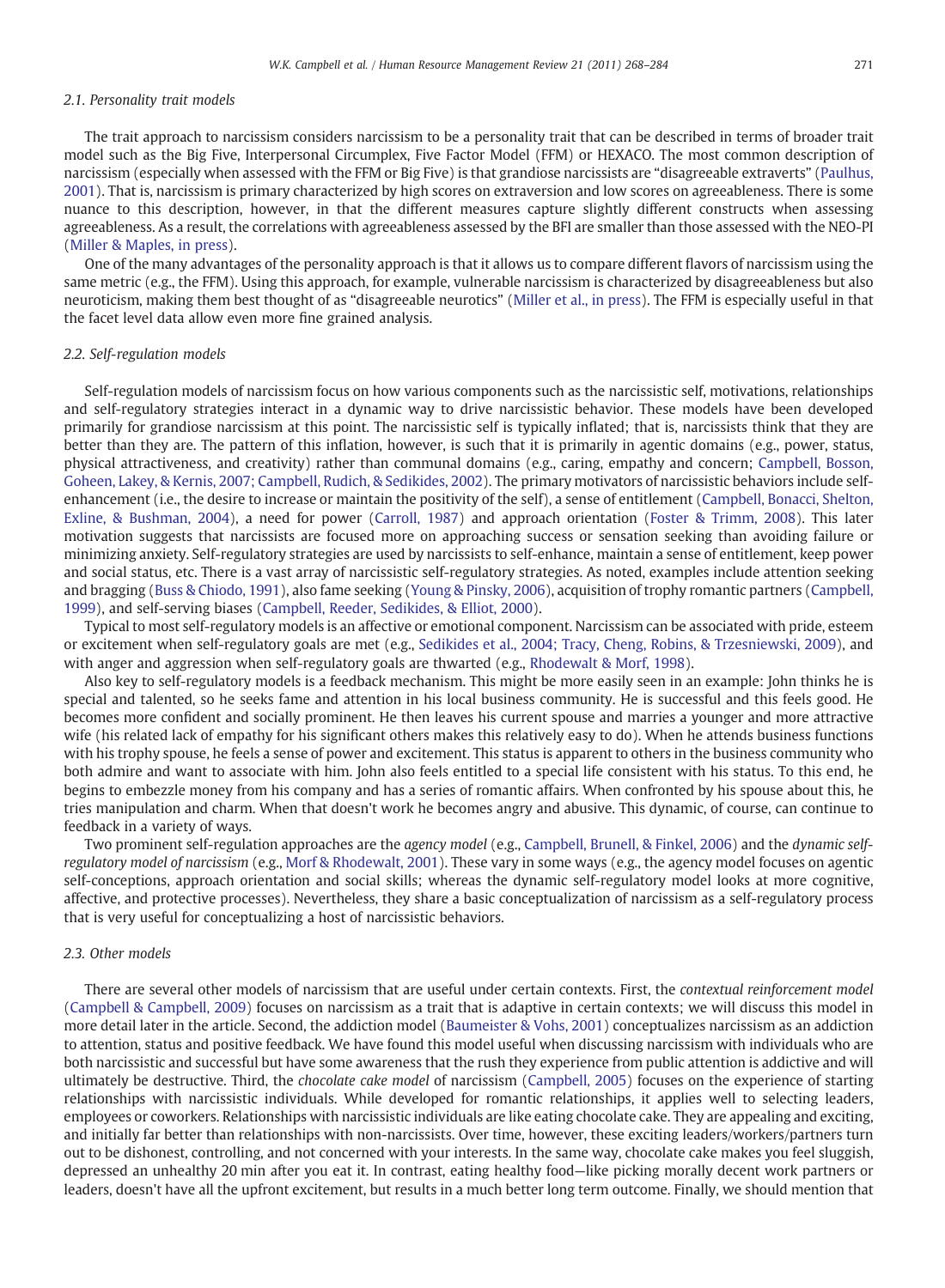# 2.1. Personality trait models

The trait approach to narcissism considers narcissism to be a personality trait that can be described in terms of broader trait model such as the Big Five, Interpersonal Circumplex, Five Factor Model (FFM) or HEXACO. The most common description of narcissism (especially when assessed with the FFM or Big Five) is that grandiose narcissists are "disagreeable extraverts" ([Paulhus,](#page-15-0) [2001](#page-15-0)). That is, narcissism is primary characterized by high scores on extraversion and low scores on agreeableness. There is some nuance to this description, however, in that the different measures capture slightly different constructs when assessing agreeableness. As a result, the correlations with agreeableness assessed by the BFI are smaller than those assessed with the NEO-PI [\(Miller & Maples, in press](#page-15-0)).

One of the many advantages of the personality approach is that it allows us to compare different flavors of narcissism using the same metric (e.g., the FFM). Using this approach, for example, vulnerable narcissism is characterized by disagreeableness but also neuroticism, making them best thought of as "disagreeable neurotics" ([Miller et al., in press](#page-15-0)). The FFM is especially useful in that the facet level data allow even more fine grained analysis.

# 2.2. Self-regulation models

Self-regulation models of narcissism focus on how various components such as the narcissistic self, motivations, relationships and self-regulatory strategies interact in a dynamic way to drive narcissistic behavior. These models have been developed primarily for grandiose narcissism at this point. The narcissistic self is typically inflated; that is, narcissists think that they are better than they are. The pattern of this inflation, however, is such that it is primarily in agentic domains (e.g., power, status, physical attractiveness, and creativity) rather than communal domains (e.g., caring, empathy and concern; [Campbell, Bosson,](#page-13-0) [Goheen, Lakey, & Kernis, 2007; Campbell, Rudich, & Sedikides, 2002](#page-13-0)). The primary motivators of narcissistic behaviors include selfenhancement (i.e., the desire to increase or maintain the positivity of the self), a sense of entitlement [\(Campbell, Bonacci, Shelton,](#page-13-0) [Exline, & Bushman, 2004](#page-13-0)), a need for power ([Carroll, 1987](#page-14-0)) and approach orientation ([Foster & Trimm, 2008](#page-14-0)). This later motivation suggests that narcissists are focused more on approaching success or sensation seeking than avoiding failure or minimizing anxiety. Self-regulatory strategies are used by narcissists to self-enhance, maintain a sense of entitlement, keep power and social status, etc. There is a vast array of narcissistic self-regulatory strategies. As noted, examples include attention seeking and bragging [\(Buss & Chiodo, 1991](#page-13-0)), also fame seeking ([Young & Pinsky, 2006](#page-16-0)), acquisition of trophy romantic partners [\(Campbell,](#page-13-0) [1999](#page-13-0)), and self-serving biases [\(Campbell, Reeder, Sedikides, & Elliot, 2000\)](#page-14-0).

Typical to most self-regulatory models is an affective or emotional component. Narcissism can be associated with pride, esteem or excitement when self-regulatory goals are met (e.g., [Sedikides et al., 2004; Tracy, Cheng, Robins, & Trzesniewski, 2009\)](#page-16-0), and with anger and aggression when self-regulatory goals are thwarted (e.g., [Rhodewalt & Morf, 1998\)](#page-15-0).

Also key to self-regulatory models is a feedback mechanism. This might be more easily seen in an example: John thinks he is special and talented, so he seeks fame and attention in his local business community. He is successful and this feels good. He becomes more confident and socially prominent. He then leaves his current spouse and marries a younger and more attractive wife (his related lack of empathy for his significant others makes this relatively easy to do). When he attends business functions with his trophy spouse, he feels a sense of power and excitement. This status is apparent to others in the business community who both admire and want to associate with him. John also feels entitled to a special life consistent with his status. To this end, he begins to embezzle money from his company and has a series of romantic affairs. When confronted by his spouse about this, he tries manipulation and charm. When that doesn't work he becomes angry and abusive. This dynamic, of course, can continue to feedback in a variety of ways.

Two prominent self-regulation approaches are the agency model (e.g., [Campbell, Brunell, & Finkel, 2006\)](#page-13-0) and the dynamic selfregulatory model of narcissism (e.g., [Morf & Rhodewalt, 2001\)](#page-15-0). These vary in some ways (e.g., the agency model focuses on agentic self-conceptions, approach orientation and social skills; whereas the dynamic self-regulatory model looks at more cognitive, affective, and protective processes). Nevertheless, they share a basic conceptualization of narcissism as a self-regulatory process that is very useful for conceptualizing a host of narcissistic behaviors.

# 2.3. Other models

There are several other models of narcissism that are useful under certain contexts. First, the contextual reinforcement model [\(Campbell & Campbell, 2009\)](#page-13-0) focuses on narcissism as a trait that is adaptive in certain contexts; we will discuss this model in more detail later in the article. Second, the addiction model ([Baumeister & Vohs, 2001\)](#page-13-0) conceptualizes narcissism as an addiction to attention, status and positive feedback. We have found this model useful when discussing narcissism with individuals who are both narcissistic and successful but have some awareness that the rush they experience from public attention is addictive and will ultimately be destructive. Third, the *chocolate cake model* of narcissism [\(Campbell, 2005\)](#page-13-0) focuses on the experience of starting relationships with narcissistic individuals. While developed for romantic relationships, it applies well to selecting leaders, employees or coworkers. Relationships with narcissistic individuals are like eating chocolate cake. They are appealing and exciting, and initially far better than relationships with non-narcissists. Over time, however, these exciting leaders/workers/partners turn out to be dishonest, controlling, and not concerned with your interests. In the same way, chocolate cake makes you feel sluggish, depressed an unhealthy 20 min after you eat it. In contrast, eating healthy food—like picking morally decent work partners or leaders, doesn't have all the upfront excitement, but results in a much better long term outcome. Finally, we should mention that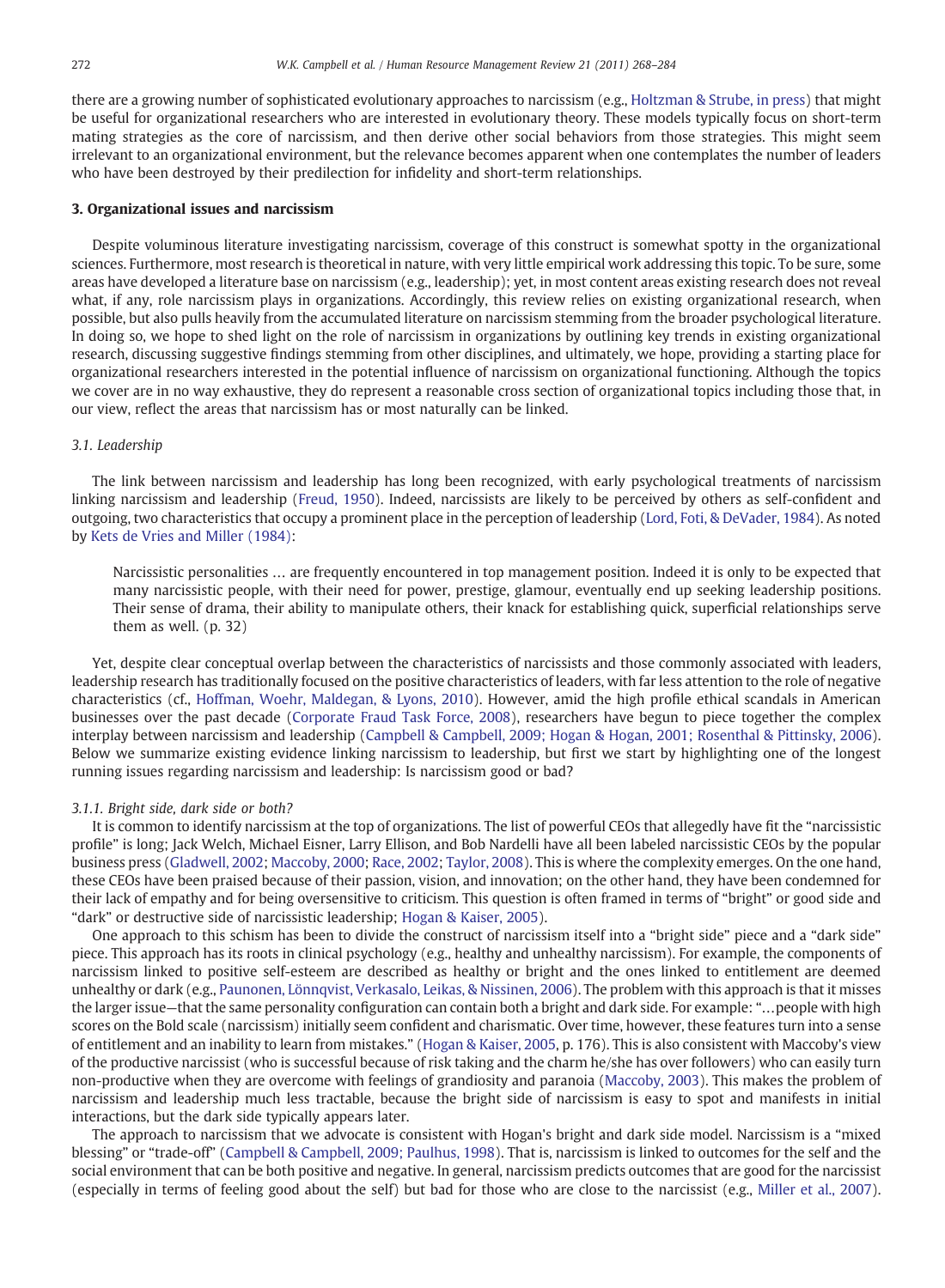there are a growing number of sophisticated evolutionary approaches to narcissism (e.g., [Holtzman & Strube, in press\)](#page-14-0) that might be useful for organizational researchers who are interested in evolutionary theory. These models typically focus on short-term mating strategies as the core of narcissism, and then derive other social behaviors from those strategies. This might seem irrelevant to an organizational environment, but the relevance becomes apparent when one contemplates the number of leaders who have been destroyed by their predilection for infidelity and short-term relationships.

# 3. Organizational issues and narcissism

Despite voluminous literature investigating narcissism, coverage of this construct is somewhat spotty in the organizational sciences. Furthermore, most research is theoretical in nature, with very little empirical work addressing this topic. To be sure, some areas have developed a literature base on narcissism (e.g., leadership); yet, in most content areas existing research does not reveal what, if any, role narcissism plays in organizations. Accordingly, this review relies on existing organizational research, when possible, but also pulls heavily from the accumulated literature on narcissism stemming from the broader psychological literature. In doing so, we hope to shed light on the role of narcissism in organizations by outlining key trends in existing organizational research, discussing suggestive findings stemming from other disciplines, and ultimately, we hope, providing a starting place for organizational researchers interested in the potential influence of narcissism on organizational functioning. Although the topics we cover are in no way exhaustive, they do represent a reasonable cross section of organizational topics including those that, in our view, reflect the areas that narcissism has or most naturally can be linked.

# 3.1. Leadership

The link between narcissism and leadership has long been recognized, with early psychological treatments of narcissism linking narcissism and leadership ([Freud, 1950\)](#page-14-0). Indeed, narcissists are likely to be perceived by others as self-confident and outgoing, two characteristics that occupy a prominent place in the perception of leadership [\(Lord, Foti, & DeVader, 1984](#page-15-0)). As noted by [Kets de Vries and Miller \(1984\):](#page-14-0)

Narcissistic personalities … are frequently encountered in top management position. Indeed it is only to be expected that many narcissistic people, with their need for power, prestige, glamour, eventually end up seeking leadership positions. Their sense of drama, their ability to manipulate others, their knack for establishing quick, superficial relationships serve them as well. (p. 32)

Yet, despite clear conceptual overlap between the characteristics of narcissists and those commonly associated with leaders, leadership research has traditionally focused on the positive characteristics of leaders, with far less attention to the role of negative characteristics (cf., [Hoffman, Woehr, Maldegan, & Lyons, 2010\)](http://www.doi:10.1007/s00395-008-0744-x). However, amid the high profile ethical scandals in American businesses over the past decade [\(Corporate Fraud Task Force, 2008](#page-14-0)), researchers have begun to piece together the complex interplay between narcissism and leadership ([Campbell & Campbell, 2009; Hogan & Hogan, 2001; Rosenthal & Pittinsky, 2006](#page-13-0)). Below we summarize existing evidence linking narcissism to leadership, but first we start by highlighting one of the longest running issues regarding narcissism and leadership: Is narcissism good or bad?

# 3.1.1. Bright side, dark side or both?

It is common to identify narcissism at the top of organizations. The list of powerful CEOs that allegedly have fit the "narcissistic profile" is long; Jack Welch, Michael Eisner, Larry Ellison, and Bob Nardelli have all been labeled narcissistic CEOs by the popular business press ([Gladwell, 2002;](#page-14-0) [Maccoby, 2000;](#page-15-0) [Race, 2002;](#page-15-0) [Taylor, 2008](#page-16-0)). This is where the complexity emerges. On the one hand, these CEOs have been praised because of their passion, vision, and innovation; on the other hand, they have been condemned for their lack of empathy and for being oversensitive to criticism. This question is often framed in terms of "bright" or good side and "dark" or destructive side of narcissistic leadership; [Hogan & Kaiser, 2005](#page-14-0)).

One approach to this schism has been to divide the construct of narcissism itself into a "bright side" piece and a "dark side" piece. This approach has its roots in clinical psychology (e.g., healthy and unhealthy narcissism). For example, the components of narcissism linked to positive self-esteem are described as healthy or bright and the ones linked to entitlement are deemed unhealthy or dark (e.g., [Paunonen, Lönnqvist, Verkasalo, Leikas, & Nissinen, 2006](#page-15-0)). The problem with this approach is that it misses the larger issue—that the same personality configuration can contain both a bright and dark side. For example: "…people with high scores on the Bold scale (narcissism) initially seem confident and charismatic. Over time, however, these features turn into a sense of entitlement and an inability to learn from mistakes." [\(Hogan & Kaiser, 2005](#page-14-0), p. 176). This is also consistent with Maccoby's view of the productive narcissist (who is successful because of risk taking and the charm he/she has over followers) who can easily turn non-productive when they are overcome with feelings of grandiosity and paranoia [\(Maccoby, 2003\)](#page-15-0). This makes the problem of narcissism and leadership much less tractable, because the bright side of narcissism is easy to spot and manifests in initial interactions, but the dark side typically appears later.

The approach to narcissism that we advocate is consistent with Hogan's bright and dark side model. Narcissism is a "mixed blessing" or "trade-off" ([Campbell & Campbell, 2009; Paulhus, 1998](#page-13-0)). That is, narcissism is linked to outcomes for the self and the social environment that can be both positive and negative. In general, narcissism predicts outcomes that are good for the narcissist (especially in terms of feeling good about the self) but bad for those who are close to the narcissist (e.g., [Miller et al., 2007](#page-15-0)).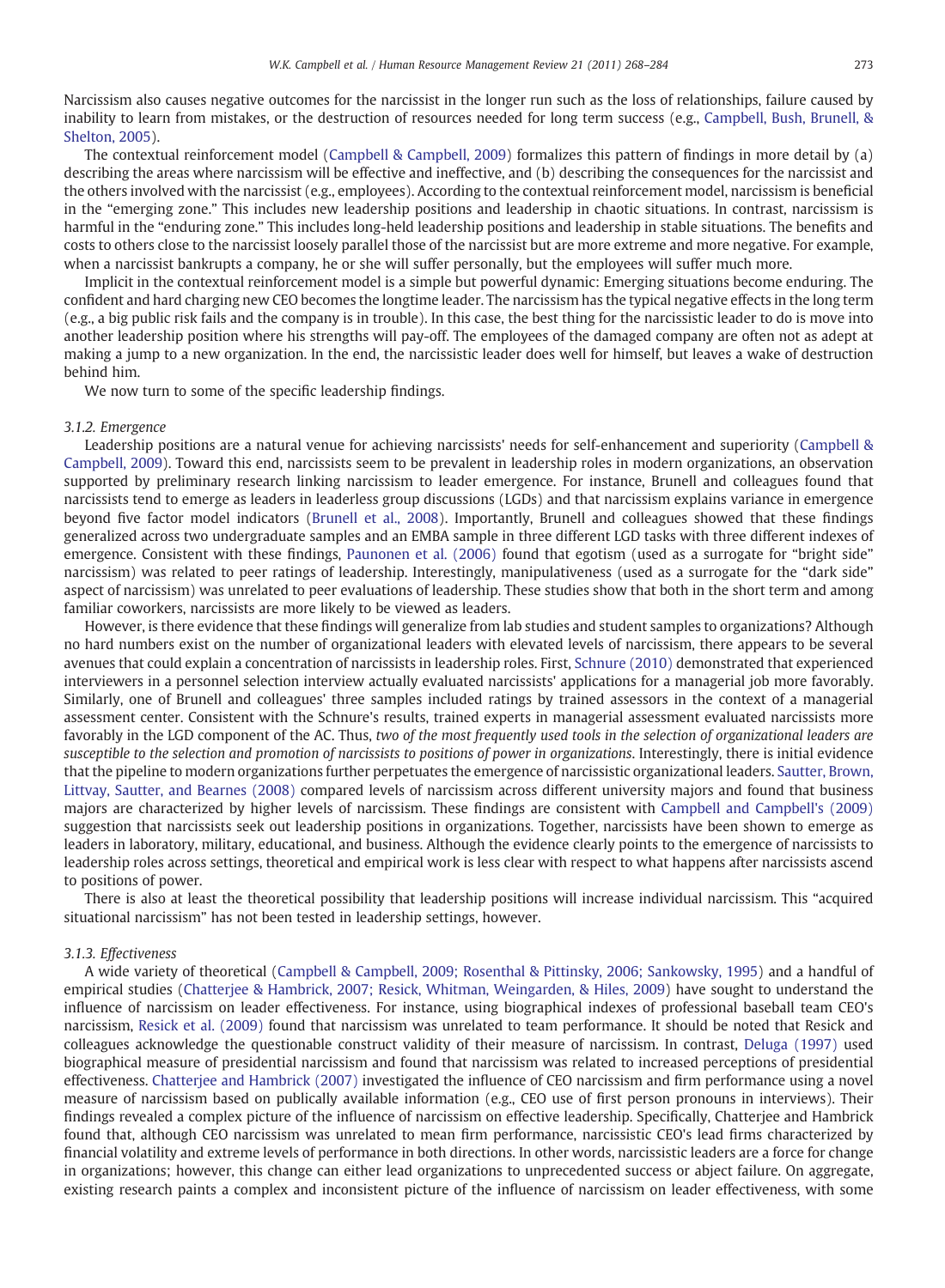Narcissism also causes negative outcomes for the narcissist in the longer run such as the loss of relationships, failure caused by inability to learn from mistakes, or the destruction of resources needed for long term success (e.g., [Campbell, Bush, Brunell, &](#page-13-0) [Shelton, 2005\)](#page-13-0).

The contextual reinforcement model ([Campbell & Campbell, 2009\)](#page-13-0) formalizes this pattern of findings in more detail by (a) describing the areas where narcissism will be effective and ineffective, and (b) describing the consequences for the narcissist and the others involved with the narcissist (e.g., employees). According to the contextual reinforcement model, narcissism is beneficial in the "emerging zone." This includes new leadership positions and leadership in chaotic situations. In contrast, narcissism is harmful in the "enduring zone." This includes long-held leadership positions and leadership in stable situations. The benefits and costs to others close to the narcissist loosely parallel those of the narcissist but are more extreme and more negative. For example, when a narcissist bankrupts a company, he or she will suffer personally, but the employees will suffer much more.

Implicit in the contextual reinforcement model is a simple but powerful dynamic: Emerging situations become enduring. The confident and hard charging new CEO becomes the longtime leader. The narcissism has the typical negative effects in the long term (e.g., a big public risk fails and the company is in trouble). In this case, the best thing for the narcissistic leader to do is move into another leadership position where his strengths will pay-off. The employees of the damaged company are often not as adept at making a jump to a new organization. In the end, the narcissistic leader does well for himself, but leaves a wake of destruction behind him.

We now turn to some of the specific leadership findings.

# 3.1.2. Emergence

Leadership positions are a natural venue for achieving narcissists' needs for self-enhancement and superiority ([Campbell &](#page-13-0) [Campbell, 2009](#page-13-0)). Toward this end, narcissists seem to be prevalent in leadership roles in modern organizations, an observation supported by preliminary research linking narcissism to leader emergence. For instance, Brunell and colleagues found that narcissists tend to emerge as leaders in leaderless group discussions (LGDs) and that narcissism explains variance in emergence beyond five factor model indicators ([Brunell et al., 2008\)](#page-13-0). Importantly, Brunell and colleagues showed that these findings generalized across two undergraduate samples and an EMBA sample in three different LGD tasks with three different indexes of emergence. Consistent with these findings, [Paunonen et al. \(2006\)](#page-15-0) found that egotism (used as a surrogate for "bright side" narcissism) was related to peer ratings of leadership. Interestingly, manipulativeness (used as a surrogate for the "dark side" aspect of narcissism) was unrelated to peer evaluations of leadership. These studies show that both in the short term and among familiar coworkers, narcissists are more likely to be viewed as leaders.

However, is there evidence that these findings will generalize from lab studies and student samples to organizations? Although no hard numbers exist on the number of organizational leaders with elevated levels of narcissism, there appears to be several avenues that could explain a concentration of narcissists in leadership roles. First, [Schnure \(2010\)](#page-15-0) demonstrated that experienced interviewers in a personnel selection interview actually evaluated narcissists' applications for a managerial job more favorably. Similarly, one of Brunell and colleagues' three samples included ratings by trained assessors in the context of a managerial assessment center. Consistent with the Schnure's results, trained experts in managerial assessment evaluated narcissists more favorably in the LGD component of the AC. Thus, two of the most frequently used tools in the selection of organizational leaders are susceptible to the selection and promotion of narcissists to positions of power in organizations. Interestingly, there is initial evidence that the pipeline to modern organizations further perpetuates the emergence of narcissistic organizational leaders. [Sautter, Brown,](#page-15-0) [Littvay, Sautter, and Bearnes \(2008\)](#page-15-0) compared levels of narcissism across different university majors and found that business majors are characterized by higher levels of narcissism. These findings are consistent with [Campbell and Campbell's \(2009\)](#page-13-0) suggestion that narcissists seek out leadership positions in organizations. Together, narcissists have been shown to emerge as leaders in laboratory, military, educational, and business. Although the evidence clearly points to the emergence of narcissists to leadership roles across settings, theoretical and empirical work is less clear with respect to what happens after narcissists ascend to positions of power.

There is also at least the theoretical possibility that leadership positions will increase individual narcissism. This "acquired situational narcissism" has not been tested in leadership settings, however.

# 3.1.3. Effectiveness

A wide variety of theoretical ([Campbell & Campbell, 2009; Rosenthal & Pittinsky, 2006; Sankowsky, 1995\)](#page-13-0) and a handful of empirical studies ([Chatterjee & Hambrick, 2007; Resick, Whitman, Weingarden, & Hiles, 2009](#page-14-0)) have sought to understand the influence of narcissism on leader effectiveness. For instance, using biographical indexes of professional baseball team CEO's narcissism, [Resick et al. \(2009\)](#page-15-0) found that narcissism was unrelated to team performance. It should be noted that Resick and colleagues acknowledge the questionable construct validity of their measure of narcissism. In contrast, [Deluga \(1997\)](#page-14-0) used biographical measure of presidential narcissism and found that narcissism was related to increased perceptions of presidential effectiveness. [Chatterjee and Hambrick \(2007\)](#page-14-0) investigated the influence of CEO narcissism and firm performance using a novel measure of narcissism based on publically available information (e.g., CEO use of first person pronouns in interviews). Their findings revealed a complex picture of the influence of narcissism on effective leadership. Specifically, Chatterjee and Hambrick found that, although CEO narcissism was unrelated to mean firm performance, narcissistic CEO's lead firms characterized by financial volatility and extreme levels of performance in both directions. In other words, narcissistic leaders are a force for change in organizations; however, this change can either lead organizations to unprecedented success or abject failure. On aggregate, existing research paints a complex and inconsistent picture of the influence of narcissism on leader effectiveness, with some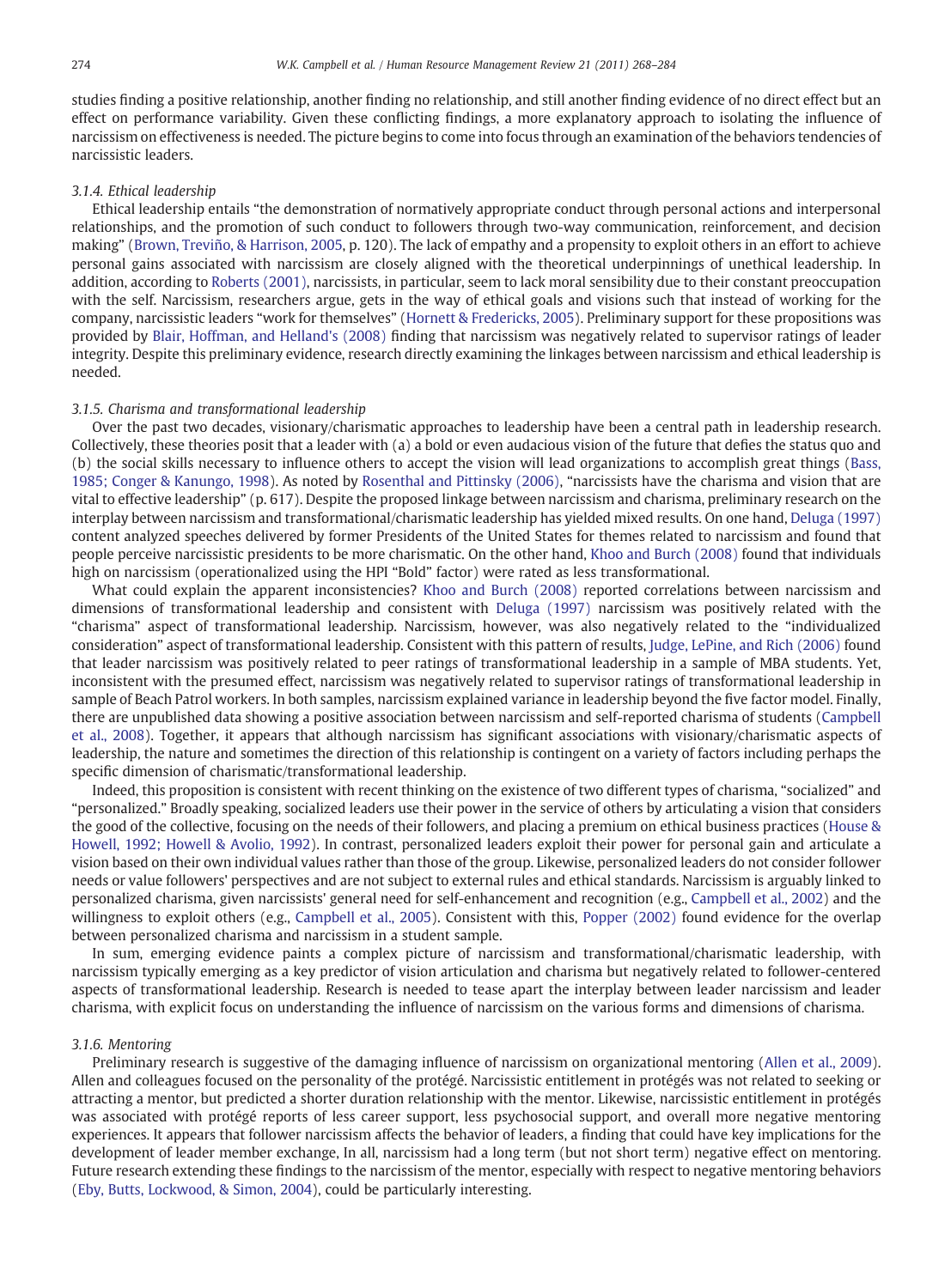studies finding a positive relationship, another finding no relationship, and still another finding evidence of no direct effect but an effect on performance variability. Given these conflicting findings, a more explanatory approach to isolating the influence of narcissism on effectiveness is needed. The picture begins to come into focus through an examination of the behaviors tendencies of narcissistic leaders.

# 3.1.4. Ethical leadership

Ethical leadership entails "the demonstration of normatively appropriate conduct through personal actions and interpersonal relationships, and the promotion of such conduct to followers through two-way communication, reinforcement, and decision making" [\(Brown, Treviño, & Harrison, 2005](#page-13-0), p. 120). The lack of empathy and a propensity to exploit others in an effort to achieve personal gains associated with narcissism are closely aligned with the theoretical underpinnings of unethical leadership. In addition, according to [Roberts \(2001\),](#page-15-0) narcissists, in particular, seem to lack moral sensibility due to their constant preoccupation with the self. Narcissism, researchers argue, gets in the way of ethical goals and visions such that instead of working for the company, narcissistic leaders "work for themselves" [\(Hornett & Fredericks, 2005\)](#page-14-0). Preliminary support for these propositions was provided by [Blair, Hoffman, and Helland's \(2008\)](#page-13-0) finding that narcissism was negatively related to supervisor ratings of leader integrity. Despite this preliminary evidence, research directly examining the linkages between narcissism and ethical leadership is needed.

# 3.1.5. Charisma and transformational leadership

Over the past two decades, visionary/charismatic approaches to leadership have been a central path in leadership research. Collectively, these theories posit that a leader with (a) a bold or even audacious vision of the future that defies the status quo and (b) the social skills necessary to influence others to accept the vision will lead organizations to accomplish great things ([Bass,](#page-13-0) [1985; Conger & Kanungo, 1998](#page-13-0)). As noted by [Rosenthal and Pittinsky \(2006\)](#page-15-0), "narcissists have the charisma and vision that are vital to effective leadership" (p. 617). Despite the proposed linkage between narcissism and charisma, preliminary research on the interplay between narcissism and transformational/charismatic leadership has yielded mixed results. On one hand, [Deluga \(1997\)](#page-14-0) content analyzed speeches delivered by former Presidents of the United States for themes related to narcissism and found that people perceive narcissistic presidents to be more charismatic. On the other hand, [Khoo and Burch \(2008\)](#page-14-0) found that individuals high on narcissism (operationalized using the HPI "Bold" factor) were rated as less transformational.

What could explain the apparent inconsistencies? [Khoo and Burch \(2008\)](#page-14-0) reported correlations between narcissism and dimensions of transformational leadership and consistent with [Deluga \(1997\)](#page-14-0) narcissism was positively related with the "charisma" aspect of transformational leadership. Narcissism, however, was also negatively related to the "individualized consideration" aspect of transformational leadership. Consistent with this pattern of results, [Judge, LePine, and Rich \(2006\)](#page-14-0) found that leader narcissism was positively related to peer ratings of transformational leadership in a sample of MBA students. Yet, inconsistent with the presumed effect, narcissism was negatively related to supervisor ratings of transformational leadership in sample of Beach Patrol workers. In both samples, narcissism explained variance in leadership beyond the five factor model. Finally, there are unpublished data showing a positive association between narcissism and self-reported charisma of students [\(Campbell](#page-14-0) [et al., 2008](#page-14-0)). Together, it appears that although narcissism has significant associations with visionary/charismatic aspects of leadership, the nature and sometimes the direction of this relationship is contingent on a variety of factors including perhaps the specific dimension of charismatic/transformational leadership.

Indeed, this proposition is consistent with recent thinking on the existence of two different types of charisma, "socialized" and "personalized." Broadly speaking, socialized leaders use their power in the service of others by articulating a vision that considers the good of the collective, focusing on the needs of their followers, and placing a premium on ethical business practices [\(House &](#page-14-0) [Howell, 1992; Howell & Avolio, 1992\)](#page-14-0). In contrast, personalized leaders exploit their power for personal gain and articulate a vision based on their own individual values rather than those of the group. Likewise, personalized leaders do not consider follower needs or value followers' perspectives and are not subject to external rules and ethical standards. Narcissism is arguably linked to personalized charisma, given narcissists' general need for self-enhancement and recognition (e.g., [Campbell et al., 2002](#page-14-0)) and the willingness to exploit others (e.g., [Campbell et al., 2005](#page-13-0)). Consistent with this, [Popper \(2002\)](#page-15-0) found evidence for the overlap between personalized charisma and narcissism in a student sample.

In sum, emerging evidence paints a complex picture of narcissism and transformational/charismatic leadership, with narcissism typically emerging as a key predictor of vision articulation and charisma but negatively related to follower-centered aspects of transformational leadership. Research is needed to tease apart the interplay between leader narcissism and leader charisma, with explicit focus on understanding the influence of narcissism on the various forms and dimensions of charisma.

# 3.1.6. Mentoring

Preliminary research is suggestive of the damaging influence of narcissism on organizational mentoring [\(Allen et al., 2009](#page-13-0)). Allen and colleagues focused on the personality of the protégé. Narcissistic entitlement in protégés was not related to seeking or attracting a mentor, but predicted a shorter duration relationship with the mentor. Likewise, narcissistic entitlement in protégés was associated with protégé reports of less career support, less psychosocial support, and overall more negative mentoring experiences. It appears that follower narcissism affects the behavior of leaders, a finding that could have key implications for the development of leader member exchange, In all, narcissism had a long term (but not short term) negative effect on mentoring. Future research extending these findings to the narcissism of the mentor, especially with respect to negative mentoring behaviors ([Eby, Butts, Lockwood, & Simon, 2004\)](#page-14-0), could be particularly interesting.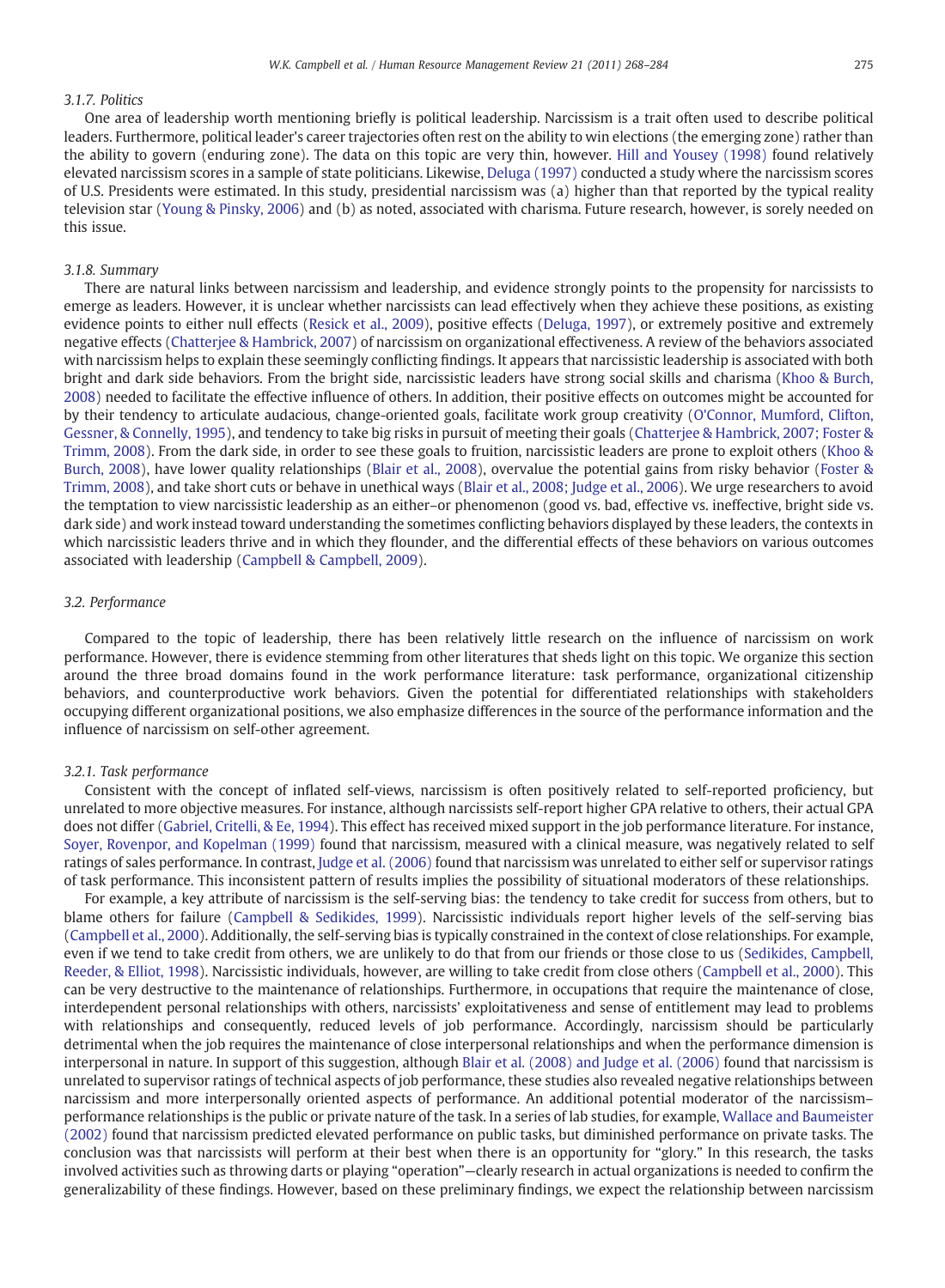# 3.1.7. Politics

One area of leadership worth mentioning briefly is political leadership. Narcissism is a trait often used to describe political leaders. Furthermore, political leader's career trajectories often rest on the ability to win elections (the emerging zone) rather than the ability to govern (enduring zone). The data on this topic are very thin, however. [Hill and Yousey \(1998\)](#page-14-0) found relatively elevated narcissism scores in a sample of state politicians. Likewise, [Deluga \(1997\)](#page-14-0) conducted a study where the narcissism scores of U.S. Presidents were estimated. In this study, presidential narcissism was (a) higher than that reported by the typical reality television star [\(Young & Pinsky, 2006](#page-16-0)) and (b) as noted, associated with charisma. Future research, however, is sorely needed on this issue.

# 3.1.8. Summary

There are natural links between narcissism and leadership, and evidence strongly points to the propensity for narcissists to emerge as leaders. However, it is unclear whether narcissists can lead effectively when they achieve these positions, as existing evidence points to either null effects ([Resick et al., 2009](#page-15-0)), positive effects [\(Deluga, 1997\)](#page-14-0), or extremely positive and extremely negative effects ([Chatterjee & Hambrick, 2007\)](#page-14-0) of narcissism on organizational effectiveness. A review of the behaviors associated with narcissism helps to explain these seemingly conflicting findings. It appears that narcissistic leadership is associated with both bright and dark side behaviors. From the bright side, narcissistic leaders have strong social skills and charisma [\(Khoo & Burch,](#page-14-0) [2008](#page-14-0)) needed to facilitate the effective influence of others. In addition, their positive effects on outcomes might be accounted for by their tendency to articulate audacious, change-oriented goals, facilitate work group creativity ([O'Connor, Mumford, Clifton,](#page-15-0) [Gessner, & Connelly, 1995](#page-15-0)), and tendency to take big risks in pursuit of meeting their goals ([Chatterjee & Hambrick, 2007; Foster &](#page-14-0) [Trimm, 2008\)](#page-14-0). From the dark side, in order to see these goals to fruition, narcissistic leaders are prone to exploit others ([Khoo &](#page-14-0) [Burch, 2008\)](#page-14-0), have lower quality relationships [\(Blair et al., 2008\)](#page-13-0), overvalue the potential gains from risky behavior ([Foster &](#page-14-0) [Trimm, 2008](#page-14-0)), and take short cuts or behave in unethical ways [\(Blair et al., 2008; Judge et al., 2006\)](#page-13-0). We urge researchers to avoid the temptation to view narcissistic leadership as an either–or phenomenon (good vs. bad, effective vs. ineffective, bright side vs. dark side) and work instead toward understanding the sometimes conflicting behaviors displayed by these leaders, the contexts in which narcissistic leaders thrive and in which they flounder, and the differential effects of these behaviors on various outcomes associated with leadership ([Campbell & Campbell, 2009\)](#page-13-0).

# 3.2. Performance

Compared to the topic of leadership, there has been relatively little research on the influence of narcissism on work performance. However, there is evidence stemming from other literatures that sheds light on this topic. We organize this section around the three broad domains found in the work performance literature: task performance, organizational citizenship behaviors, and counterproductive work behaviors. Given the potential for differentiated relationships with stakeholders occupying different organizational positions, we also emphasize differences in the source of the performance information and the influence of narcissism on self-other agreement.

## 3.2.1. Task performance

Consistent with the concept of inflated self-views, narcissism is often positively related to self-reported proficiency, but unrelated to more objective measures. For instance, although narcissists self-report higher GPA relative to others, their actual GPA does not differ [\(Gabriel, Critelli, & Ee, 1994](#page-14-0)). This effect has received mixed support in the job performance literature. For instance, [Soyer, Rovenpor, and Kopelman \(1999\)](#page-16-0) found that narcissism, measured with a clinical measure, was negatively related to self ratings of sales performance. In contrast, [Judge et al. \(2006\)](#page-14-0) found that narcissism was unrelated to either self or supervisor ratings of task performance. This inconsistent pattern of results implies the possibility of situational moderators of these relationships.

For example, a key attribute of narcissism is the self-serving bias: the tendency to take credit for success from others, but to blame others for failure ([Campbell & Sedikides, 1999](#page-14-0)). Narcissistic individuals report higher levels of the self-serving bias [\(Campbell et al., 2000\)](#page-14-0). Additionally, the self-serving bias is typically constrained in the context of close relationships. For example, even if we tend to take credit from others, we are unlikely to do that from our friends or those close to us ([Sedikides, Campbell,](#page-16-0) [Reeder, & Elliot, 1998\)](#page-16-0). Narcissistic individuals, however, are willing to take credit from close others ([Campbell et al., 2000\)](#page-14-0). This can be very destructive to the maintenance of relationships. Furthermore, in occupations that require the maintenance of close, interdependent personal relationships with others, narcissists' exploitativeness and sense of entitlement may lead to problems with relationships and consequently, reduced levels of job performance. Accordingly, narcissism should be particularly detrimental when the job requires the maintenance of close interpersonal relationships and when the performance dimension is interpersonal in nature. In support of this suggestion, although [Blair et al. \(2008\) and Judge et al. \(2006\)](#page-13-0) found that narcissism is unrelated to supervisor ratings of technical aspects of job performance, these studies also revealed negative relationships between narcissism and more interpersonally oriented aspects of performance. An additional potential moderator of the narcissism– performance relationships is the public or private nature of the task. In a series of lab studies, for example, [Wallace and Baumeister](#page-16-0) [\(2002\)](#page-16-0) found that narcissism predicted elevated performance on public tasks, but diminished performance on private tasks. The conclusion was that narcissists will perform at their best when there is an opportunity for "glory." In this research, the tasks involved activities such as throwing darts or playing "operation"—clearly research in actual organizations is needed to confirm the generalizability of these findings. However, based on these preliminary findings, we expect the relationship between narcissism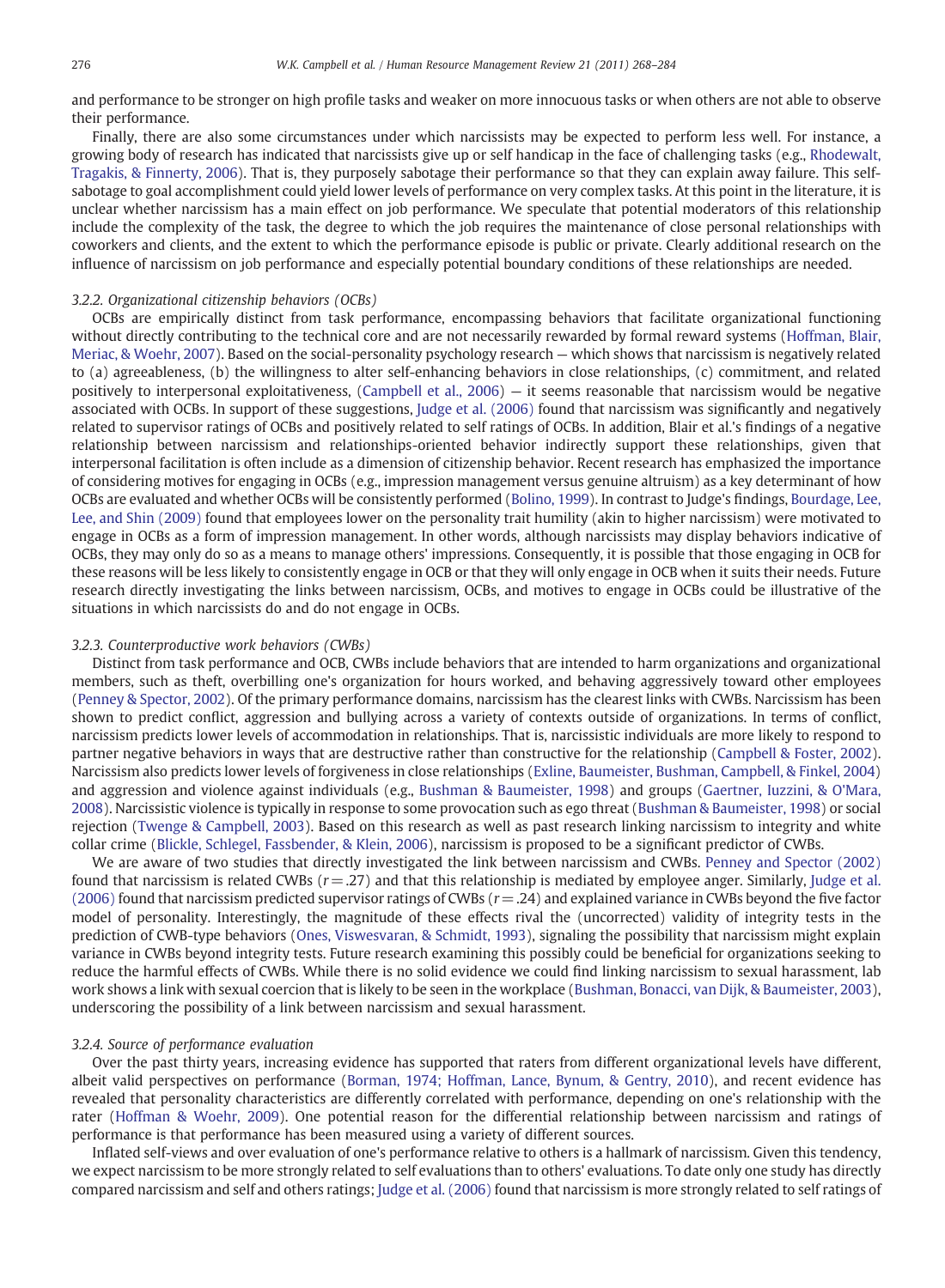and performance to be stronger on high profile tasks and weaker on more innocuous tasks or when others are not able to observe their performance.

Finally, there are also some circumstances under which narcissists may be expected to perform less well. For instance, a growing body of research has indicated that narcissists give up or self handicap in the face of challenging tasks (e.g., [Rhodewalt,](#page-15-0) [Tragakis, & Finnerty, 2006\)](#page-15-0). That is, they purposely sabotage their performance so that they can explain away failure. This selfsabotage to goal accomplishment could yield lower levels of performance on very complex tasks. At this point in the literature, it is unclear whether narcissism has a main effect on job performance. We speculate that potential moderators of this relationship include the complexity of the task, the degree to which the job requires the maintenance of close personal relationships with coworkers and clients, and the extent to which the performance episode is public or private. Clearly additional research on the influence of narcissism on job performance and especially potential boundary conditions of these relationships are needed.

# 3.2.2. Organizational citizenship behaviors (OCBs)

OCBs are empirically distinct from task performance, encompassing behaviors that facilitate organizational functioning without directly contributing to the technical core and are not necessarily rewarded by formal reward systems [\(Hoffman, Blair,](#page-14-0) [Meriac, & Woehr, 2007\)](#page-14-0). Based on the social-personality psychology research — which shows that narcissism is negatively related to (a) agreeableness, (b) the willingness to alter self-enhancing behaviors in close relationships, (c) commitment, and related positively to interpersonal exploitativeness, ([Campbell et al., 2006](#page-13-0)) — it seems reasonable that narcissism would be negative associated with OCBs. In support of these suggestions, [Judge et al. \(2006\)](#page-14-0) found that narcissism was significantly and negatively related to supervisor ratings of OCBs and positively related to self ratings of OCBs. In addition, Blair et al.'s findings of a negative relationship between narcissism and relationships-oriented behavior indirectly support these relationships, given that interpersonal facilitation is often include as a dimension of citizenship behavior. Recent research has emphasized the importance of considering motives for engaging in OCBs (e.g., impression management versus genuine altruism) as a key determinant of how OCBs are evaluated and whether OCBs will be consistently performed ([Bolino, 1999](#page-13-0)). In contrast to Judge's findings, [Bourdage, Lee,](#page-13-0) [Lee, and Shin \(2009\)](#page-13-0) found that employees lower on the personality trait humility (akin to higher narcissism) were motivated to engage in OCBs as a form of impression management. In other words, although narcissists may display behaviors indicative of OCBs, they may only do so as a means to manage others' impressions. Consequently, it is possible that those engaging in OCB for these reasons will be less likely to consistently engage in OCB or that they will only engage in OCB when it suits their needs. Future research directly investigating the links between narcissism, OCBs, and motives to engage in OCBs could be illustrative of the situations in which narcissists do and do not engage in OCBs.

# 3.2.3. Counterproductive work behaviors (CWBs)

Distinct from task performance and OCB, CWBs include behaviors that are intended to harm organizations and organizational members, such as theft, overbilling one's organization for hours worked, and behaving aggressively toward other employees ([Penney & Spector, 2002\)](#page-15-0). Of the primary performance domains, narcissism has the clearest links with CWBs. Narcissism has been shown to predict conflict, aggression and bullying across a variety of contexts outside of organizations. In terms of conflict, narcissism predicts lower levels of accommodation in relationships. That is, narcissistic individuals are more likely to respond to partner negative behaviors in ways that are destructive rather than constructive for the relationship [\(Campbell & Foster, 2002](#page-13-0)). Narcissism also predicts lower levels of forgiveness in close relationships [\(Exline, Baumeister, Bushman, Campbell, & Finkel, 2004](#page-14-0)) and aggression and violence against individuals (e.g., [Bushman & Baumeister, 1998\)](#page-13-0) and groups [\(Gaertner, Iuzzini, & O'Mara,](#page-14-0) [2008](#page-14-0)). Narcissistic violence is typically in response to some provocation such as ego threat ([Bushman & Baumeister, 1998\)](#page-13-0) or social rejection [\(Twenge & Campbell, 2003](#page-16-0)). Based on this research as well as past research linking narcissism to integrity and white collar crime [\(Blickle, Schlegel, Fassbender, & Klein, 2006](#page-13-0)), narcissism is proposed to be a significant predictor of CWBs.

We are aware of two studies that directly investigated the link between narcissism and CWBs. [Penney and Spector \(2002\)](#page-15-0) found that narcissism is related CWBs  $(r=.27)$  and that this relationship is mediated by employee anger. Similarly, [Judge et al.](#page-14-0)  $(2006)$  found that narcissism predicted supervisor ratings of CWBs  $(r=.24)$  and explained variance in CWBs beyond the five factor model of personality. Interestingly, the magnitude of these effects rival the (uncorrected) validity of integrity tests in the prediction of CWB-type behaviors ([Ones, Viswesvaran, & Schmidt, 1993](#page-15-0)), signaling the possibility that narcissism might explain variance in CWBs beyond integrity tests. Future research examining this possibly could be beneficial for organizations seeking to reduce the harmful effects of CWBs. While there is no solid evidence we could find linking narcissism to sexual harassment, lab work shows a link with sexual coercion that is likely to be seen in the workplace ([Bushman, Bonacci, van Dijk, & Baumeister, 2003](#page-13-0)), underscoring the possibility of a link between narcissism and sexual harassment.

# 3.2.4. Source of performance evaluation

Over the past thirty years, increasing evidence has supported that raters from different organizational levels have different, albeit valid perspectives on performance ([Borman, 1974; Hoffman, Lance, Bynum, & Gentry, 2010](#page-13-0)), and recent evidence has revealed that personality characteristics are differently correlated with performance, depending on one's relationship with the rater [\(Hoffman & Woehr, 2009\)](#page-14-0). One potential reason for the differential relationship between narcissism and ratings of performance is that performance has been measured using a variety of different sources.

Inflated self-views and over evaluation of one's performance relative to others is a hallmark of narcissism. Given this tendency, we expect narcissism to be more strongly related to self evaluations than to others' evaluations. To date only one study has directly compared narcissism and self and others ratings; [Judge et al. \(2006\)](#page-14-0) found that narcissism is more strongly related to self ratings of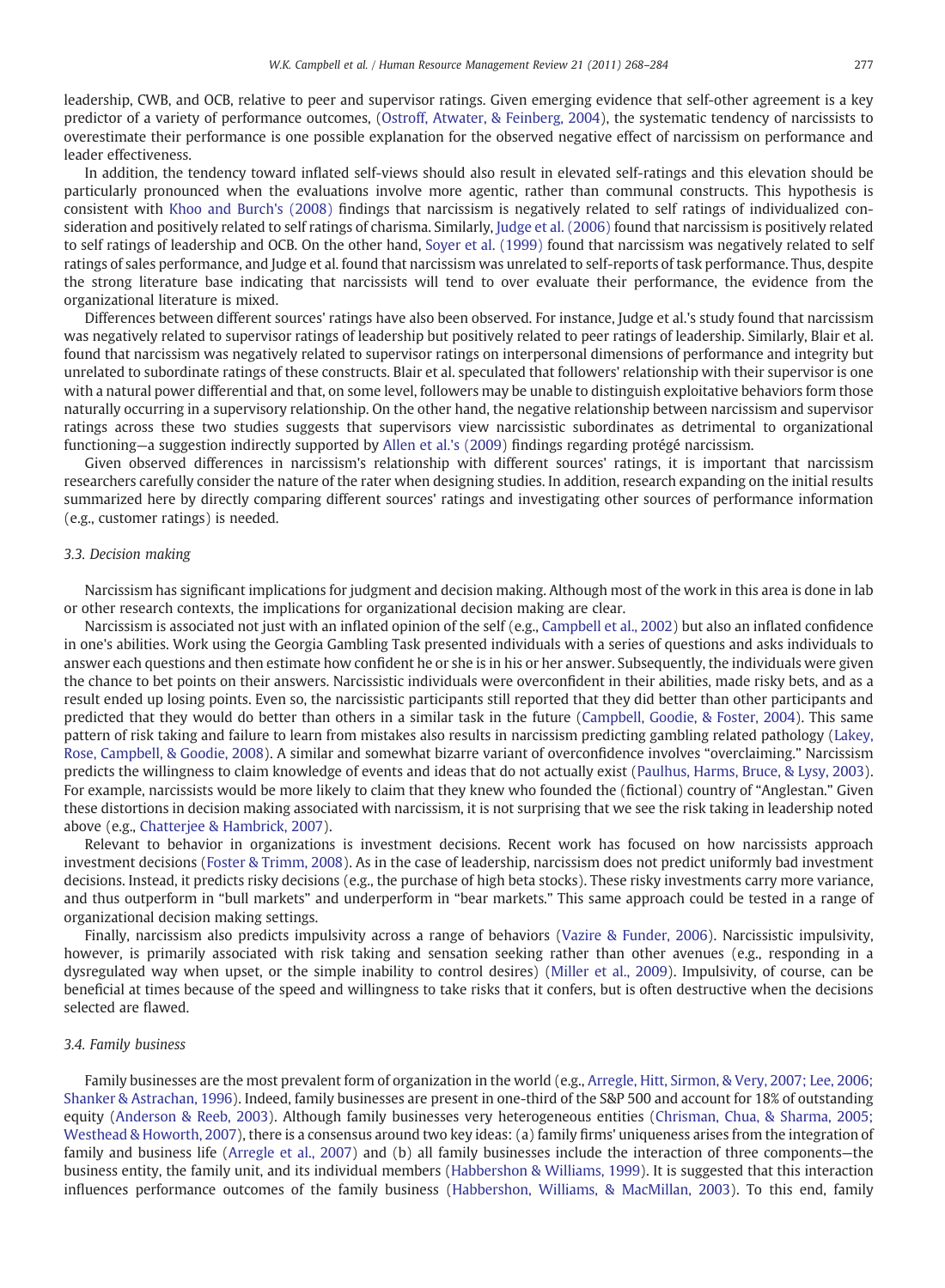leadership, CWB, and OCB, relative to peer and supervisor ratings. Given emerging evidence that self-other agreement is a key predictor of a variety of performance outcomes, ([Ostroff, Atwater, & Feinberg, 2004\)](#page-15-0), the systematic tendency of narcissists to overestimate their performance is one possible explanation for the observed negative effect of narcissism on performance and leader effectiveness.

In addition, the tendency toward inflated self-views should also result in elevated self-ratings and this elevation should be particularly pronounced when the evaluations involve more agentic, rather than communal constructs. This hypothesis is consistent with [Khoo and Burch's \(2008\)](#page-14-0) findings that narcissism is negatively related to self ratings of individualized consideration and positively related to self ratings of charisma. Similarly, [Judge et al. \(2006\)](#page-14-0) found that narcissism is positively related to self ratings of leadership and OCB. On the other hand, [Soyer et al. \(1999\)](#page-16-0) found that narcissism was negatively related to self ratings of sales performance, and Judge et al. found that narcissism was unrelated to self-reports of task performance. Thus, despite the strong literature base indicating that narcissists will tend to over evaluate their performance, the evidence from the organizational literature is mixed.

Differences between different sources' ratings have also been observed. For instance, Judge et al.'s study found that narcissism was negatively related to supervisor ratings of leadership but positively related to peer ratings of leadership. Similarly, Blair et al. found that narcissism was negatively related to supervisor ratings on interpersonal dimensions of performance and integrity but unrelated to subordinate ratings of these constructs. Blair et al. speculated that followers' relationship with their supervisor is one with a natural power differential and that, on some level, followers may be unable to distinguish exploitative behaviors form those naturally occurring in a supervisory relationship. On the other hand, the negative relationship between narcissism and supervisor ratings across these two studies suggests that supervisors view narcissistic subordinates as detrimental to organizational functioning—a suggestion indirectly supported by [Allen et al.'s \(2009\)](#page-13-0) findings regarding protégé narcissism.

Given observed differences in narcissism's relationship with different sources' ratings, it is important that narcissism researchers carefully consider the nature of the rater when designing studies. In addition, research expanding on the initial results summarized here by directly comparing different sources' ratings and investigating other sources of performance information (e.g., customer ratings) is needed.

# 3.3. Decision making

Narcissism has significant implications for judgment and decision making. Although most of the work in this area is done in lab or other research contexts, the implications for organizational decision making are clear.

Narcissism is associated not just with an inflated opinion of the self (e.g., [Campbell et al., 2002](#page-14-0)) but also an inflated confidence in one's abilities. Work using the Georgia Gambling Task presented individuals with a series of questions and asks individuals to answer each questions and then estimate how confident he or she is in his or her answer. Subsequently, the individuals were given the chance to bet points on their answers. Narcissistic individuals were overconfident in their abilities, made risky bets, and as a result ended up losing points. Even so, the narcissistic participants still reported that they did better than other participants and predicted that they would do better than others in a similar task in the future [\(Campbell, Goodie, & Foster, 2004](#page-14-0)). This same pattern of risk taking and failure to learn from mistakes also results in narcissism predicting gambling related pathology ([Lakey,](#page-15-0) [Rose, Campbell, & Goodie, 2008\)](#page-15-0). A similar and somewhat bizarre variant of overconfidence involves "overclaiming." Narcissism predicts the willingness to claim knowledge of events and ideas that do not actually exist ([Paulhus, Harms, Bruce, & Lysy, 2003\)](#page-15-0). For example, narcissists would be more likely to claim that they knew who founded the (fictional) country of "Anglestan." Given these distortions in decision making associated with narcissism, it is not surprising that we see the risk taking in leadership noted above (e.g., [Chatterjee & Hambrick, 2007](#page-14-0)).

Relevant to behavior in organizations is investment decisions. Recent work has focused on how narcissists approach investment decisions [\(Foster & Trimm, 2008\)](#page-14-0). As in the case of leadership, narcissism does not predict uniformly bad investment decisions. Instead, it predicts risky decisions (e.g., the purchase of high beta stocks). These risky investments carry more variance, and thus outperform in "bull markets" and underperform in "bear markets." This same approach could be tested in a range of organizational decision making settings.

Finally, narcissism also predicts impulsivity across a range of behaviors ([Vazire & Funder, 2006\)](#page-16-0). Narcissistic impulsivity, however, is primarily associated with risk taking and sensation seeking rather than other avenues (e.g., responding in a dysregulated way when upset, or the simple inability to control desires) [\(Miller et al., 2009](#page-15-0)). Impulsivity, of course, can be beneficial at times because of the speed and willingness to take risks that it confers, but is often destructive when the decisions selected are flawed.

# 3.4. Family business

Family businesses are the most prevalent form of organization in the world (e.g., [Arregle, Hitt, Sirmon, & Very, 2007; Lee, 2006;](#page-13-0) [Shanker & Astrachan, 1996\)](#page-13-0). Indeed, family businesses are present in one-third of the S&P 500 and account for 18% of outstanding equity ([Anderson & Reeb, 2003](#page-13-0)). Although family businesses very heterogeneous entities ([Chrisman, Chua, & Sharma, 2005;](#page-14-0) [Westhead & Howorth, 2007](#page-14-0)), there is a consensus around two key ideas: (a) family firms' uniqueness arises from the integration of family and business life ([Arregle et al., 2007\)](#page-13-0) and (b) all family businesses include the interaction of three components—the business entity, the family unit, and its individual members ([Habbershon & Williams, 1999\)](#page-14-0). It is suggested that this interaction influences performance outcomes of the family business [\(Habbershon, Williams, & MacMillan, 2003\)](#page-14-0). To this end, family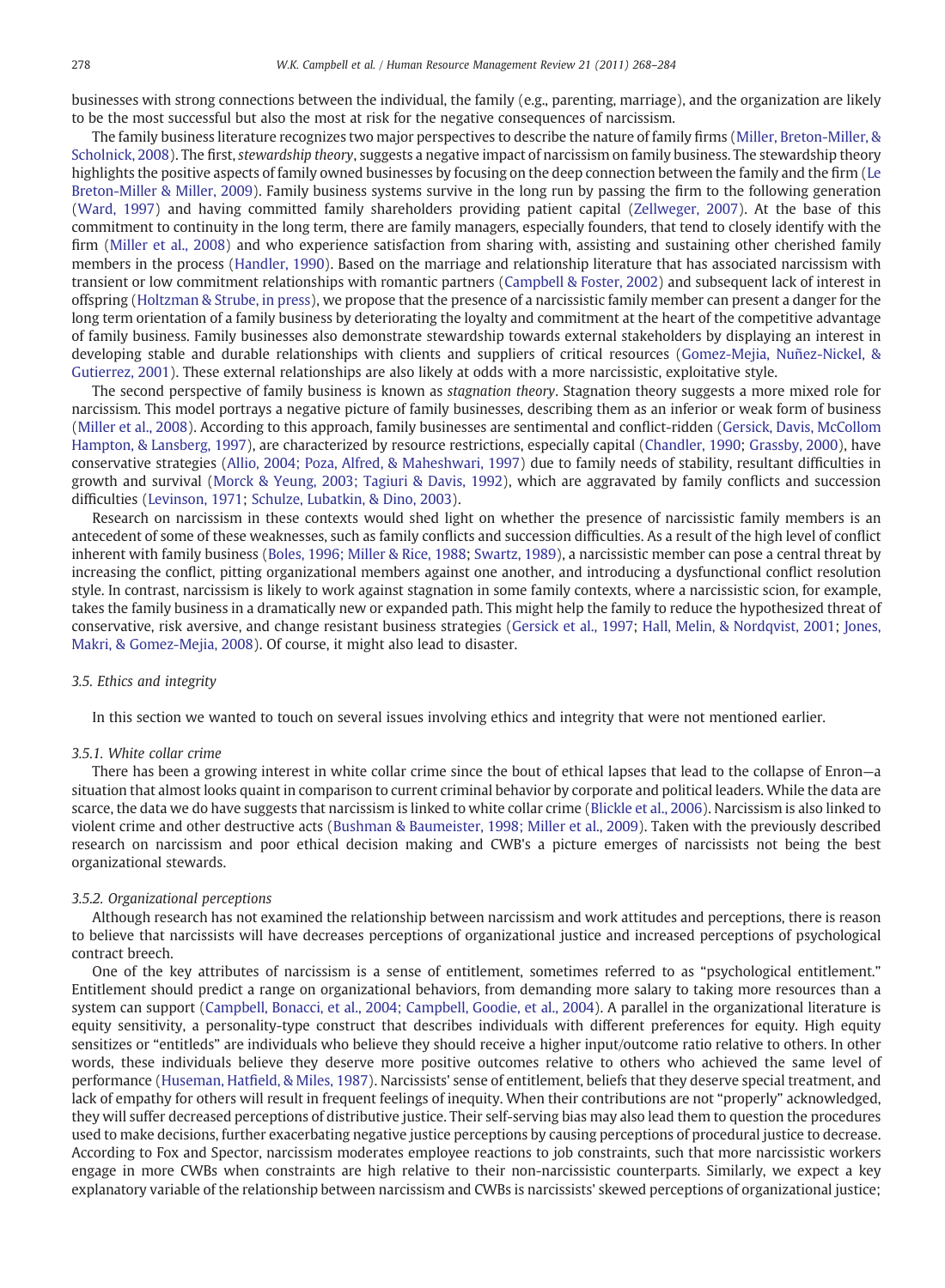businesses with strong connections between the individual, the family (e.g., parenting, marriage), and the organization are likely to be the most successful but also the most at risk for the negative consequences of narcissism.

The family business literature recognizes two major perspectives to describe the nature of family firms [\(Miller, Breton-Miller, &](#page-15-0) [Scholnick, 2008\)](#page-15-0). The first, stewardship theory, suggests a negative impact of narcissism on family business. The stewardship theory highlights the positive aspects of family owned businesses by focusing on the deep connection between the family and the firm [\(Le](#page-15-0) [Breton-Miller & Miller, 2009\)](#page-15-0). Family business systems survive in the long run by passing the firm to the following generation ([Ward, 1997](#page-16-0)) and having committed family shareholders providing patient capital [\(Zellweger, 2007](#page-16-0)). At the base of this commitment to continuity in the long term, there are family managers, especially founders, that tend to closely identify with the firm [\(Miller et al., 2008\)](#page-15-0) and who experience satisfaction from sharing with, assisting and sustaining other cherished family members in the process [\(Handler, 1990\)](#page-14-0). Based on the marriage and relationship literature that has associated narcissism with transient or low commitment relationships with romantic partners ([Campbell & Foster, 2002](#page-13-0)) and subsequent lack of interest in offspring [\(Holtzman & Strube, in press\)](#page-14-0), we propose that the presence of a narcissistic family member can present a danger for the long term orientation of a family business by deteriorating the loyalty and commitment at the heart of the competitive advantage of family business. Family businesses also demonstrate stewardship towards external stakeholders by displaying an interest in developing stable and durable relationships with clients and suppliers of critical resources ([Gomez-Mejia, Nuñez-Nickel, &](#page-14-0) [Gutierrez, 2001\)](#page-14-0). These external relationships are also likely at odds with a more narcissistic, exploitative style.

The second perspective of family business is known as stagnation theory. Stagnation theory suggests a more mixed role for narcissism. This model portrays a negative picture of family businesses, describing them as an inferior or weak form of business ([Miller et al., 2008](#page-15-0)). According to this approach, family businesses are sentimental and conflict-ridden [\(Gersick, Davis, McCollom](#page-14-0) [Hampton, & Lansberg, 1997\)](#page-14-0), are characterized by resource restrictions, especially capital ([Chandler, 1990;](#page-14-0) [Grassby, 2000\)](#page-14-0), have conservative strategies ([Allio, 2004; Poza, Alfred, & Maheshwari, 1997](#page-13-0)) due to family needs of stability, resultant difficulties in growth and survival ([Morck & Yeung, 2003; Tagiuri & Davis, 1992](#page-15-0)), which are aggravated by family conflicts and succession difficulties [\(Levinson, 1971;](#page-15-0) [Schulze, Lubatkin, & Dino, 2003](#page-15-0)).

Research on narcissism in these contexts would shed light on whether the presence of narcissistic family members is an antecedent of some of these weaknesses, such as family conflicts and succession difficulties. As a result of the high level of conflict inherent with family business [\(Boles, 1996; Miller & Rice, 1988;](#page-13-0) [Swartz, 1989](#page-16-0)), a narcissistic member can pose a central threat by increasing the conflict, pitting organizational members against one another, and introducing a dysfunctional conflict resolution style. In contrast, narcissism is likely to work against stagnation in some family contexts, where a narcissistic scion, for example, takes the family business in a dramatically new or expanded path. This might help the family to reduce the hypothesized threat of conservative, risk aversive, and change resistant business strategies ([Gersick et al., 1997;](#page-14-0) [Hall, Melin, & Nordqvist, 2001](#page-14-0); [Jones,](#page-14-0) [Makri, & Gomez-Mejia, 2008\)](#page-14-0). Of course, it might also lead to disaster.

# 3.5. Ethics and integrity

In this section we wanted to touch on several issues involving ethics and integrity that were not mentioned earlier.

## 3.5.1. White collar crime

There has been a growing interest in white collar crime since the bout of ethical lapses that lead to the collapse of Enron—a situation that almost looks quaint in comparison to current criminal behavior by corporate and political leaders. While the data are scarce, the data we do have suggests that narcissism is linked to white collar crime [\(Blickle et al., 2006\)](#page-13-0). Narcissism is also linked to violent crime and other destructive acts ([Bushman & Baumeister, 1998; Miller et al., 2009\)](#page-13-0). Taken with the previously described research on narcissism and poor ethical decision making and CWB's a picture emerges of narcissists not being the best organizational stewards.

# 3.5.2. Organizational perceptions

Although research has not examined the relationship between narcissism and work attitudes and perceptions, there is reason to believe that narcissists will have decreases perceptions of organizational justice and increased perceptions of psychological contract breech.

One of the key attributes of narcissism is a sense of entitlement, sometimes referred to as "psychological entitlement." Entitlement should predict a range on organizational behaviors, from demanding more salary to taking more resources than a system can support [\(Campbell, Bonacci, et al., 2004; Campbell, Goodie, et al., 2004](#page-13-0)). A parallel in the organizational literature is equity sensitivity, a personality-type construct that describes individuals with different preferences for equity. High equity sensitizes or "entitleds" are individuals who believe they should receive a higher input/outcome ratio relative to others. In other words, these individuals believe they deserve more positive outcomes relative to others who achieved the same level of performance (Huseman, Hatfi[eld, & Miles, 1987](#page-14-0)). Narcissists' sense of entitlement, beliefs that they deserve special treatment, and lack of empathy for others will result in frequent feelings of inequity. When their contributions are not "properly" acknowledged, they will suffer decreased perceptions of distributive justice. Their self-serving bias may also lead them to question the procedures used to make decisions, further exacerbating negative justice perceptions by causing perceptions of procedural justice to decrease. According to Fox and Spector, narcissism moderates employee reactions to job constraints, such that more narcissistic workers engage in more CWBs when constraints are high relative to their non-narcissistic counterparts. Similarly, we expect a key explanatory variable of the relationship between narcissism and CWBs is narcissists' skewed perceptions of organizational justice;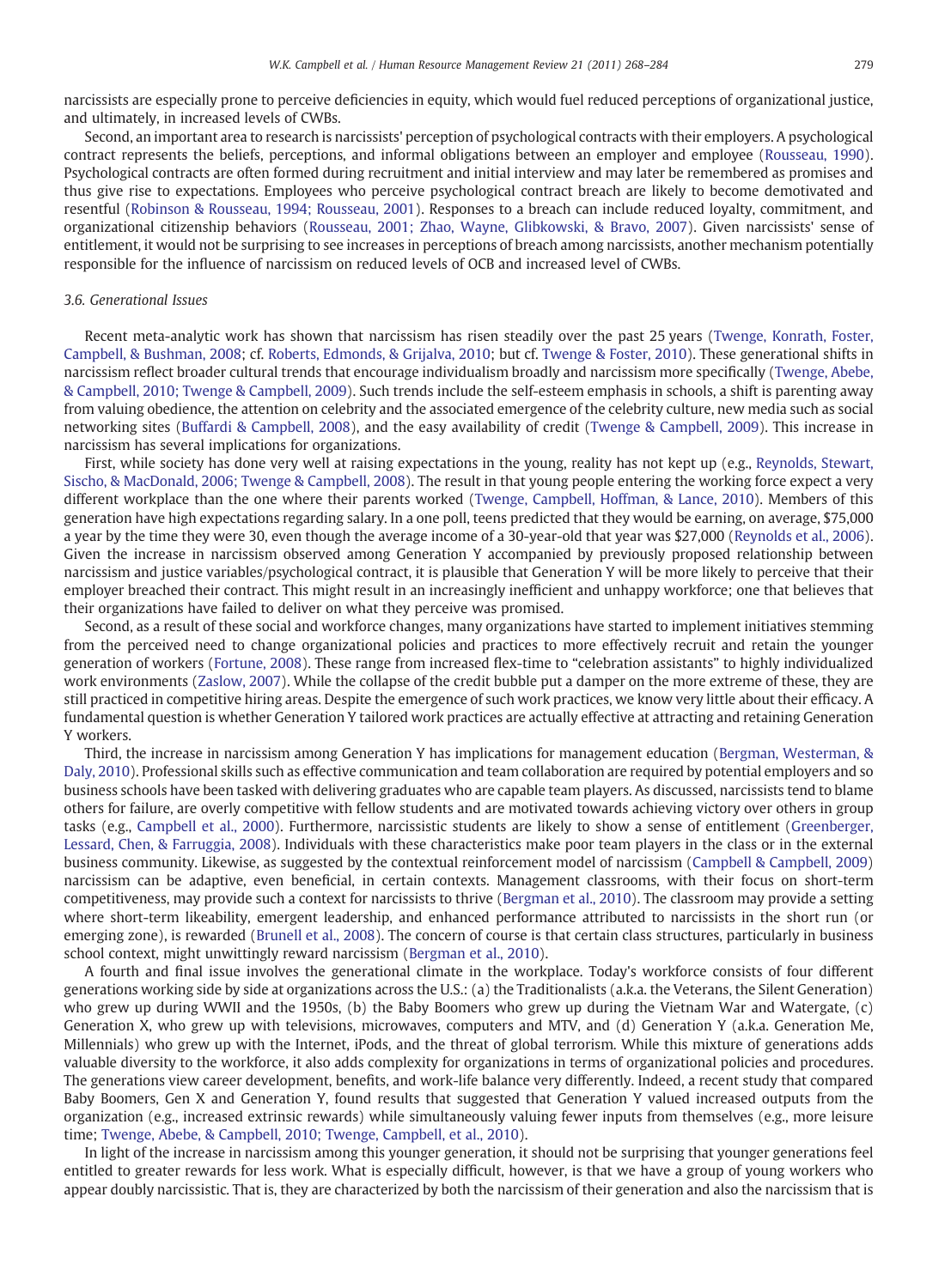narcissists are especially prone to perceive deficiencies in equity, which would fuel reduced perceptions of organizational justice, and ultimately, in increased levels of CWBs.

Second, an important area to research is narcissists' perception of psychological contracts with their employers. A psychological contract represents the beliefs, perceptions, and informal obligations between an employer and employee ([Rousseau, 1990\)](#page-15-0). Psychological contracts are often formed during recruitment and initial interview and may later be remembered as promises and thus give rise to expectations. Employees who perceive psychological contract breach are likely to become demotivated and resentful [\(Robinson & Rousseau, 1994; Rousseau, 2001](#page-15-0)). Responses to a breach can include reduced loyalty, commitment, and organizational citizenship behaviors [\(Rousseau, 2001; Zhao, Wayne, Glibkowski, & Bravo, 2007](#page-15-0)). Given narcissists' sense of entitlement, it would not be surprising to see increases in perceptions of breach among narcissists, another mechanism potentially responsible for the influence of narcissism on reduced levels of OCB and increased level of CWBs.

# 3.6. Generational Issues

Recent meta-analytic work has shown that narcissism has risen steadily over the past 25 years [\(Twenge, Konrath, Foster,](#page-16-0) [Campbell, & Bushman, 2008](#page-16-0); cf. [Roberts, Edmonds, & Grijalva, 2010;](#page-15-0) but cf. [Twenge & Foster, 2010\)](#page-16-0). These generational shifts in narcissism reflect broader cultural trends that encourage individualism broadly and narcissism more specifically [\(Twenge, Abebe,](#page-16-0) [& Campbell, 2010; Twenge & Campbell, 2009\)](#page-16-0). Such trends include the self-esteem emphasis in schools, a shift is parenting away from valuing obedience, the attention on celebrity and the associated emergence of the celebrity culture, new media such as social networking sites ([Buffardi & Campbell, 2008\)](#page-13-0), and the easy availability of credit [\(Twenge & Campbell, 2009](#page-16-0)). This increase in narcissism has several implications for organizations.

First, while society has done very well at raising expectations in the young, reality has not kept up (e.g., [Reynolds, Stewart,](#page-15-0) [Sischo, & MacDonald, 2006; Twenge & Campbell, 2008](#page-15-0)). The result in that young people entering the working force expect a very different workplace than the one where their parents worked ([Twenge, Campbell, Hoffman, & Lance, 2010](#page-16-0)). Members of this generation have high expectations regarding salary. In a one poll, teens predicted that they would be earning, on average, \$75,000 a year by the time they were 30, even though the average income of a 30-year-old that year was \$27,000 [\(Reynolds et al., 2006\)](#page-15-0). Given the increase in narcissism observed among Generation Y accompanied by previously proposed relationship between narcissism and justice variables/psychological contract, it is plausible that Generation Y will be more likely to perceive that their employer breached their contract. This might result in an increasingly inefficient and unhappy workforce; one that believes that their organizations have failed to deliver on what they perceive was promised.

Second, as a result of these social and workforce changes, many organizations have started to implement initiatives stemming from the perceived need to change organizational policies and practices to more effectively recruit and retain the younger generation of workers [\(Fortune, 2008\)](#page-14-0). These range from increased flex-time to "celebration assistants" to highly individualized work environments [\(Zaslow, 2007\)](#page-16-0). While the collapse of the credit bubble put a damper on the more extreme of these, they are still practiced in competitive hiring areas. Despite the emergence of such work practices, we know very little about their efficacy. A fundamental question is whether Generation Y tailored work practices are actually effective at attracting and retaining Generation Y workers.

Third, the increase in narcissism among Generation Y has implications for management education [\(Bergman, Westerman, &](#page-13-0) [Daly, 2010\)](#page-13-0). Professional skills such as effective communication and team collaboration are required by potential employers and so business schools have been tasked with delivering graduates who are capable team players. As discussed, narcissists tend to blame others for failure, are overly competitive with fellow students and are motivated towards achieving victory over others in group tasks (e.g., [Campbell et al., 2000\)](#page-14-0). Furthermore, narcissistic students are likely to show a sense of entitlement ([Greenberger,](#page-14-0) [Lessard, Chen, & Farruggia, 2008](#page-14-0)). Individuals with these characteristics make poor team players in the class or in the external business community. Likewise, as suggested by the contextual reinforcement model of narcissism ([Campbell & Campbell, 2009\)](#page-13-0) narcissism can be adaptive, even beneficial, in certain contexts. Management classrooms, with their focus on short-term competitiveness, may provide such a context for narcissists to thrive ([Bergman et al., 2010](#page-13-0)). The classroom may provide a setting where short-term likeability, emergent leadership, and enhanced performance attributed to narcissists in the short run (or emerging zone), is rewarded ([Brunell et al., 2008](#page-13-0)). The concern of course is that certain class structures, particularly in business school context, might unwittingly reward narcissism ([Bergman et al., 2010\)](#page-13-0).

A fourth and final issue involves the generational climate in the workplace. Today's workforce consists of four different generations working side by side at organizations across the U.S.: (a) the Traditionalists (a.k.a. the Veterans, the Silent Generation) who grew up during WWII and the 1950s, (b) the Baby Boomers who grew up during the Vietnam War and Watergate, (c) Generation X, who grew up with televisions, microwaves, computers and MTV, and (d) Generation Y (a.k.a. Generation Me, Millennials) who grew up with the Internet, iPods, and the threat of global terrorism. While this mixture of generations adds valuable diversity to the workforce, it also adds complexity for organizations in terms of organizational policies and procedures. The generations view career development, benefits, and work-life balance very differently. Indeed, a recent study that compared Baby Boomers, Gen X and Generation Y, found results that suggested that Generation Y valued increased outputs from the organization (e.g., increased extrinsic rewards) while simultaneously valuing fewer inputs from themselves (e.g., more leisure time; [Twenge, Abebe, & Campbell, 2010; Twenge, Campbell, et al., 2010\)](#page-16-0).

In light of the increase in narcissism among this younger generation, it should not be surprising that younger generations feel entitled to greater rewards for less work. What is especially difficult, however, is that we have a group of young workers who appear doubly narcissistic. That is, they are characterized by both the narcissism of their generation and also the narcissism that is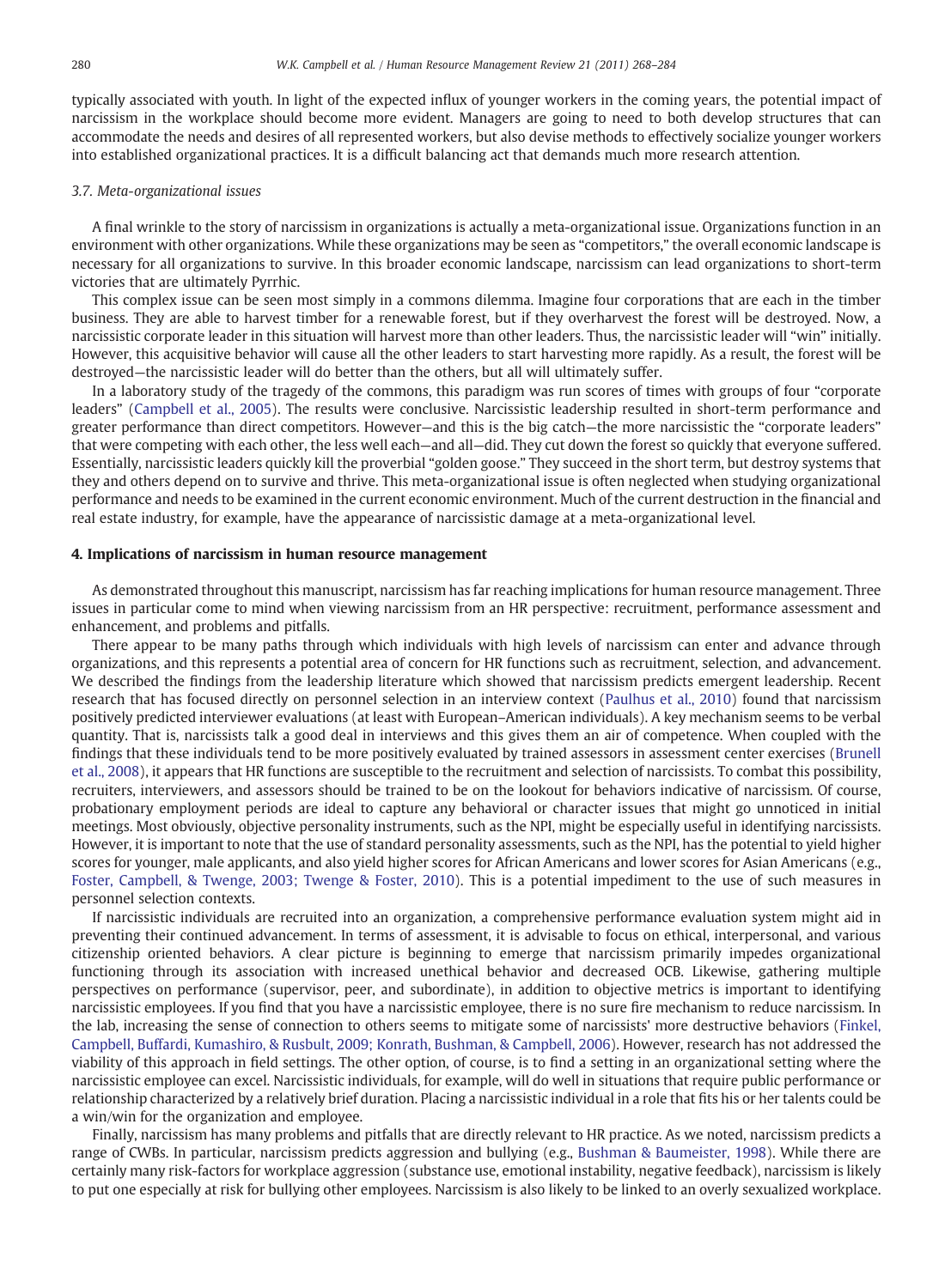typically associated with youth. In light of the expected influx of younger workers in the coming years, the potential impact of narcissism in the workplace should become more evident. Managers are going to need to both develop structures that can accommodate the needs and desires of all represented workers, but also devise methods to effectively socialize younger workers into established organizational practices. It is a difficult balancing act that demands much more research attention.

# 3.7. Meta-organizational issues

A final wrinkle to the story of narcissism in organizations is actually a meta-organizational issue. Organizations function in an environment with other organizations. While these organizations may be seen as "competitors," the overall economic landscape is necessary for all organizations to survive. In this broader economic landscape, narcissism can lead organizations to short-term victories that are ultimately Pyrrhic.

This complex issue can be seen most simply in a commons dilemma. Imagine four corporations that are each in the timber business. They are able to harvest timber for a renewable forest, but if they overharvest the forest will be destroyed. Now, a narcissistic corporate leader in this situation will harvest more than other leaders. Thus, the narcissistic leader will "win" initially. However, this acquisitive behavior will cause all the other leaders to start harvesting more rapidly. As a result, the forest will be destroyed—the narcissistic leader will do better than the others, but all will ultimately suffer.

In a laboratory study of the tragedy of the commons, this paradigm was run scores of times with groups of four "corporate leaders" [\(Campbell et al., 2005](#page-13-0)). The results were conclusive. Narcissistic leadership resulted in short-term performance and greater performance than direct competitors. However—and this is the big catch—the more narcissistic the "corporate leaders" that were competing with each other, the less well each—and all—did. They cut down the forest so quickly that everyone suffered. Essentially, narcissistic leaders quickly kill the proverbial "golden goose." They succeed in the short term, but destroy systems that they and others depend on to survive and thrive. This meta-organizational issue is often neglected when studying organizational performance and needs to be examined in the current economic environment. Much of the current destruction in the financial and real estate industry, for example, have the appearance of narcissistic damage at a meta-organizational level.

# 4. Implications of narcissism in human resource management

As demonstrated throughout this manuscript, narcissism has far reaching implications for human resource management. Three issues in particular come to mind when viewing narcissism from an HR perspective: recruitment, performance assessment and enhancement, and problems and pitfalls.

There appear to be many paths through which individuals with high levels of narcissism can enter and advance through organizations, and this represents a potential area of concern for HR functions such as recruitment, selection, and advancement. We described the findings from the leadership literature which showed that narcissism predicts emergent leadership. Recent research that has focused directly on personnel selection in an interview context ([Paulhus et al., 2010](#page-15-0)) found that narcissism positively predicted interviewer evaluations (at least with European–American individuals). A key mechanism seems to be verbal quantity. That is, narcissists talk a good deal in interviews and this gives them an air of competence. When coupled with the findings that these individuals tend to be more positively evaluated by trained assessors in assessment center exercises [\(Brunell](#page-13-0) [et al., 2008](#page-13-0)), it appears that HR functions are susceptible to the recruitment and selection of narcissists. To combat this possibility, recruiters, interviewers, and assessors should be trained to be on the lookout for behaviors indicative of narcissism. Of course, probationary employment periods are ideal to capture any behavioral or character issues that might go unnoticed in initial meetings. Most obviously, objective personality instruments, such as the NPI, might be especially useful in identifying narcissists. However, it is important to note that the use of standard personality assessments, such as the NPI, has the potential to yield higher scores for younger, male applicants, and also yield higher scores for African Americans and lower scores for Asian Americans (e.g., [Foster, Campbell, & Twenge, 2003; Twenge & Foster, 2010\)](#page-14-0). This is a potential impediment to the use of such measures in personnel selection contexts.

If narcissistic individuals are recruited into an organization, a comprehensive performance evaluation system might aid in preventing their continued advancement. In terms of assessment, it is advisable to focus on ethical, interpersonal, and various citizenship oriented behaviors. A clear picture is beginning to emerge that narcissism primarily impedes organizational functioning through its association with increased unethical behavior and decreased OCB. Likewise, gathering multiple perspectives on performance (supervisor, peer, and subordinate), in addition to objective metrics is important to identifying narcissistic employees. If you find that you have a narcissistic employee, there is no sure fire mechanism to reduce narcissism. In the lab, increasing the sense of connection to others seems to mitigate some of narcissists' more destructive behaviors ([Finkel,](#page-14-0) [Campbell, Buffardi, Kumashiro, & Rusbult, 2009; Konrath, Bushman, & Campbell, 2006\)](#page-14-0). However, research has not addressed the viability of this approach in field settings. The other option, of course, is to find a setting in an organizational setting where the narcissistic employee can excel. Narcissistic individuals, for example, will do well in situations that require public performance or relationship characterized by a relatively brief duration. Placing a narcissistic individual in a role that fits his or her talents could be a win/win for the organization and employee.

Finally, narcissism has many problems and pitfalls that are directly relevant to HR practice. As we noted, narcissism predicts a range of CWBs. In particular, narcissism predicts aggression and bullying (e.g., [Bushman & Baumeister, 1998](#page-13-0)). While there are certainly many risk-factors for workplace aggression (substance use, emotional instability, negative feedback), narcissism is likely to put one especially at risk for bullying other employees. Narcissism is also likely to be linked to an overly sexualized workplace.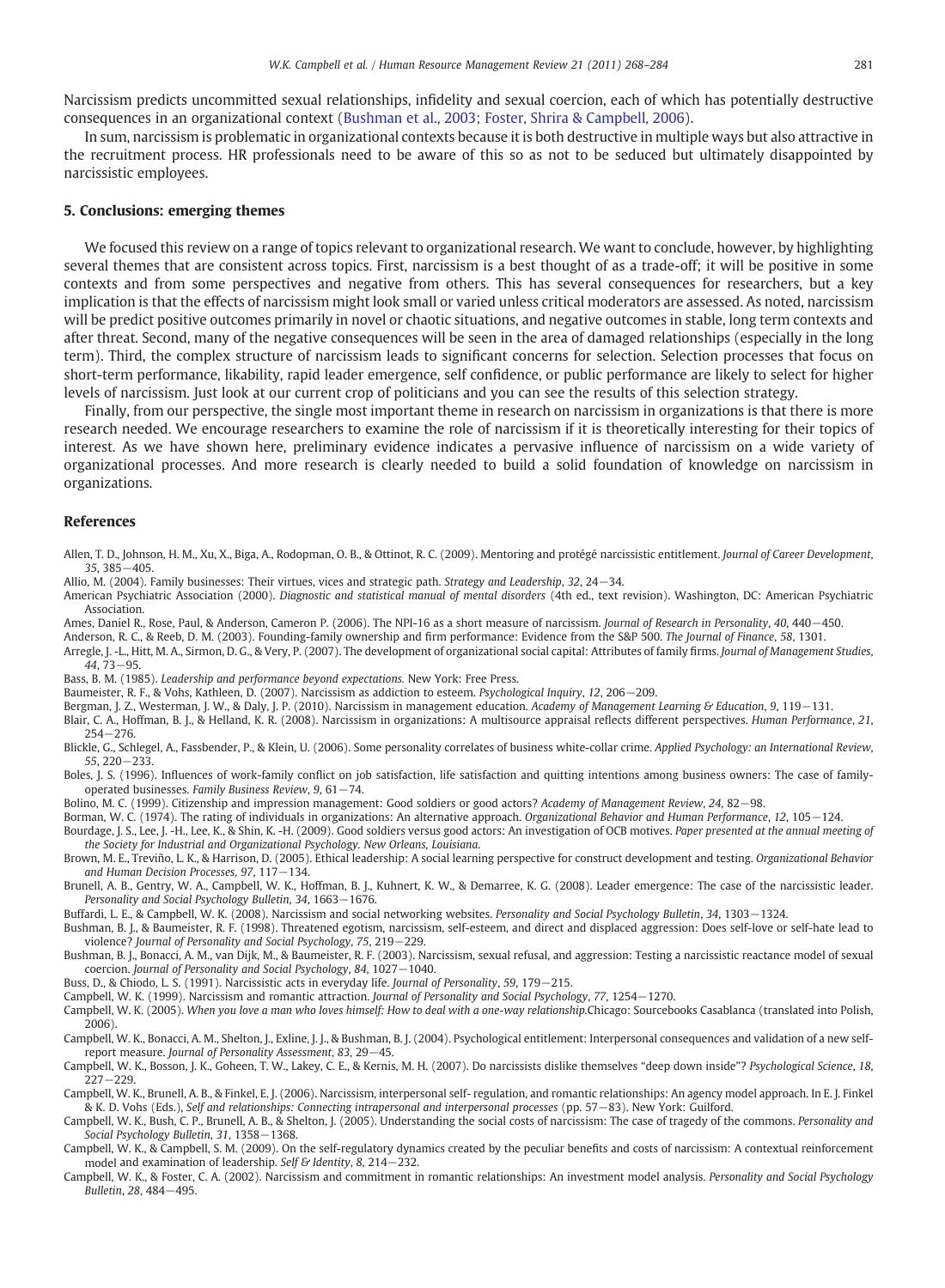<span id="page-13-0"></span>Narcissism predicts uncommitted sexual relationships, infidelity and sexual coercion, each of which has potentially destructive consequences in an organizational context (Bushman et al., 2003; Foster, Shrira & Campbell, 2006).

In sum, narcissism is problematic in organizational contexts because it is both destructive in multiple ways but also attractive in the recruitment process. HR professionals need to be aware of this so as not to be seduced but ultimately disappointed by narcissistic employees.

# 5. Conclusions: emerging themes

We focused this review on a range of topics relevant to organizational research. We want to conclude, however, by highlighting several themes that are consistent across topics. First, narcissism is a best thought of as a trade-off; it will be positive in some contexts and from some perspectives and negative from others. This has several consequences for researchers, but a key implication is that the effects of narcissism might look small or varied unless critical moderators are assessed. As noted, narcissism will be predict positive outcomes primarily in novel or chaotic situations, and negative outcomes in stable, long term contexts and after threat. Second, many of the negative consequences will be seen in the area of damaged relationships (especially in the long term). Third, the complex structure of narcissism leads to significant concerns for selection. Selection processes that focus on short-term performance, likability, rapid leader emergence, self confidence, or public performance are likely to select for higher levels of narcissism. Just look at our current crop of politicians and you can see the results of this selection strategy.

Finally, from our perspective, the single most important theme in research on narcissism in organizations is that there is more research needed. We encourage researchers to examine the role of narcissism if it is theoretically interesting for their topics of interest. As we have shown here, preliminary evidence indicates a pervasive influence of narcissism on a wide variety of organizational processes. And more research is clearly needed to build a solid foundation of knowledge on narcissism in organizations.

# References

- Allen, T. D., Johnson, H. M., Xu, X., Biga, A., Rodopman, O. B., & Ottinot, R. C. (2009). Mentoring and protégé narcissistic entitlement. Journal of Career Development, 35, 385−405.
- Allio, M. (2004). Family businesses: Their virtues, vices and strategic path. Strategy and Leadership, 32, 24−34.
- American Psychiatric Association (2000). Diagnostic and statistical manual of mental disorders (4th ed., text revision). Washington, DC: American Psychiatric Association.
- Ames, Daniel R., Rose, Paul, & Anderson, Cameron P. (2006). The NPI-16 as a short measure of narcissism. Journal of Research in Personality, 40, 440−450.
- Anderson, R. C., & Reeb, D. M. (2003). Founding-family ownership and firm performance: Evidence from the S&P 500. The Journal of Finance, 58, 1301.
- Arregle, J. -L., Hitt, M. A., Sirmon, D. G., & Very, P. (2007). The development of organizational social capital: Attributes of family firms. Journal of Management Studies, 44, 73−95.
- Bass, B. M. (1985). Leadership and performance beyond expectations. New York: Free Press.
- Baumeister, R. F., & Vohs, Kathleen, D. (2007). Narcissism as addiction to esteem. Psychological Inquiry, 12, 206−209.
- Bergman, J. Z., Westerman, J. W., & Daly, J. P. (2010). Narcissism in management education. Academy of Management Learning & Education, 9, 119-131.
- Blair, C. A., Hoffman, B. J., & Helland, K. R. (2008). Narcissism in organizations: A multisource appraisal reflects different perspectives. Human Performance, 21, 254−276.
- Blickle, G., Schlegel, A., Fassbender, P., & Klein, U. (2006). Some personality correlates of business white-collar crime. Applied Psychology: an International Review, 55, 220−233.
- Boles, J. S. (1996). Influences of work-family conflict on job satisfaction, life satisfaction and quitting intentions among business owners: The case of familyoperated businesses. Family Business Review, 9, 61−74.
- Bolino, M. C. (1999). Citizenship and impression management: Good soldiers or good actors? Academy of Management Review, 24, 82−98.
- Borman, W. C. (1974). The rating of individuals in organizations: An alternative approach. Organizational Behavior and Human Performance, 12, 105−124.
- Bourdage, J. S., Lee, J. -H., Lee, K., & Shin, K. -H. (2009). Good soldiers versus good actors: An investigation of OCB motives. Paper presented at the annual meeting of the Society for Industrial and Organizational Psychology. New Orleans, Louisiana.
- Brown, M. E., Treviño, L. K., & Harrison, D. (2005). Ethical leadership: A social learning perspective for construct development and testing. Organizational Behavior and Human Decision Processes, 97, 117−134.
- Brunell, A. B., Gentry, W. A., Campbell, W. K., Hoffman, B. J., Kuhnert, K. W., & Demarree, K. G. (2008). Leader emergence: The case of the narcissistic leader. Personality and Social Psychology Bulletin, 34, 1663−1676.
- Buffardi, L. E., & Campbell, W. K. (2008). Narcissism and social networking websites. Personality and Social Psychology Bulletin, 34, 1303−1324.
- Bushman, B. J., & Baumeister, R. F. (1998). Threatened egotism, narcissism, self-esteem, and direct and displaced aggression: Does self-love or self-hate lead to violence? Journal of Personality and Social Psychology, 75, 219−229.
- Bushman, B. J., Bonacci, A. M., van Dijk, M., & Baumeister, R. F. (2003). Narcissism, sexual refusal, and aggression: Testing a narcissistic reactance model of sexual coercion. Journal of Personality and Social Psychology, 84, 1027−1040.
- Buss, D., & Chiodo, L. S. (1991). Narcissistic acts in everyday life. Journal of Personality, 59, 179−215.
- Campbell, W. K. (1999). Narcissism and romantic attraction. Journal of Personality and Social Psychology, 77, 1254−1270.
- Campbell, W. K. (2005). When you love a man who loves himself: How to deal with a one-way relationship.Chicago: Sourcebooks Casablanca (translated into Polish, 2006).
- Campbell, W. K., Bonacci, A. M., Shelton, J., Exline, J. J., & Bushman, B. J. (2004). Psychological entitlement: Interpersonal consequences and validation of a new selfreport measure. Journal of Personality Assessment, 83, 29−45.
- Campbell, W. K., Bosson, J. K., Goheen, T. W., Lakey, C. E., & Kernis, M. H. (2007). Do narcissists dislike themselves "deep down inside"? Psychological Science, 18, 227−229.
- Campbell, W. K., Brunell, A. B., & Finkel, E. J. (2006). Narcissism, interpersonal self- regulation, and romantic relationships: An agency model approach. In E. J. Finkel & K. D. Vohs (Eds.), Self and relationships: Connecting intrapersonal and interpersonal processes (pp. 57−83). New York: Guilford.
- Campbell, W. K., Bush, C. P., Brunell, A. B., & Shelton, J. (2005). Understanding the social costs of narcissism: The case of tragedy of the commons. Personality and Social Psychology Bulletin, 31, 1358−1368.
- Campbell, W. K., & Campbell, S. M. (2009). On the self-regulatory dynamics created by the peculiar benefits and costs of narcissism: A contextual reinforcement model and examination of leadership. Self & Identity, 8, 214−232.
- Campbell, W. K., & Foster, C. A. (2002). Narcissism and commitment in romantic relationships: An investment model analysis. Personality and Social Psychology Bulletin, 28, 484−495.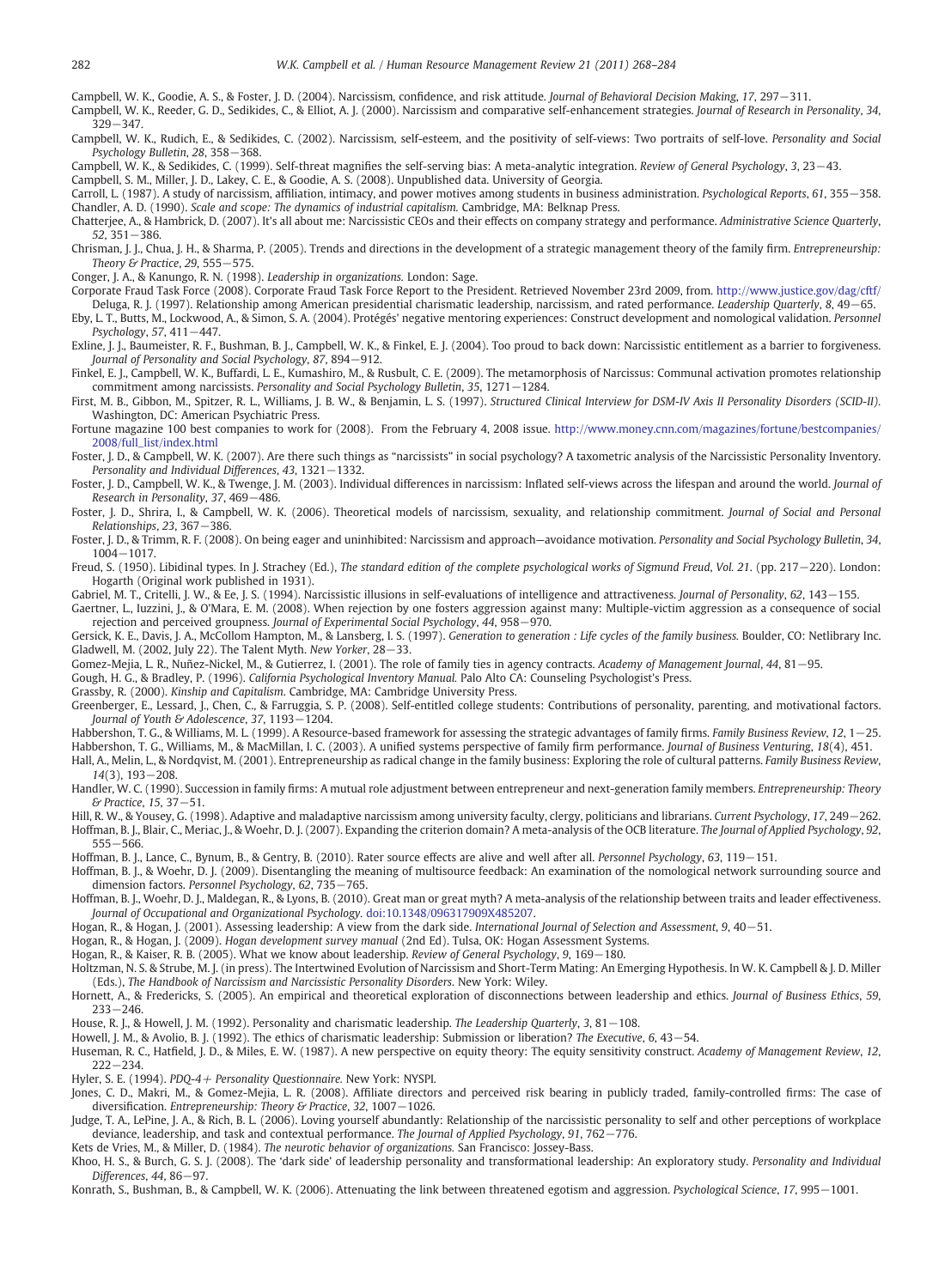<span id="page-14-0"></span>Campbell, W. K., Goodie, A. S., & Foster, J. D. (2004). Narcissism, confidence, and risk attitude. Journal of Behavioral Decision Making, 17, 297−311.

Campbell, W. K., Reeder, G. D., Sedikides, C., & Elliot, A. J. (2000). Narcissism and comparative self-enhancement strategies. Journal of Research in Personality, 34, 329−347.

Campbell, W. K., Rudich, E., & Sedikides, C. (2002). Narcissism, self-esteem, and the positivity of self-views: Two portraits of self-love. Personality and Social Psychology Bulletin, 28, 358−368.

Campbell, W. K., & Sedikides, C. (1999). Self-threat magnifies the self-serving bias: A meta-analytic integration. Review of General Psychology, 3, 23−43.

Campbell, S. M., Miller, J. D., Lakey, C. E., & Goodie, A. S. (2008). Unpublished data. University of Georgia.

Carroll, L. (1987). A study of narcissism, affiliation, intimacy, and power motives among students in business administration. Psychological Reports, 61, 355−358. Chandler, A. D. (1990). Scale and scope: The dynamics of industrial capitalism. Cambridge, MA: Belknap Press.

Chatterjee, A., & Hambrick, D. (2007). It's all about me: Narcissistic CEOs and their effects on company strategy and performance. Administrative Science Quarterly, 52, 351−386.

Chrisman, J. J., Chua, J. H., & Sharma, P. (2005). Trends and directions in the development of a strategic management theory of the family firm. Entrepreneurship: Theory & Practice, 29, 555−575.

Conger, J. A., & Kanungo, R. N. (1998). Leadership in organizations. London: Sage.

Corporate Fraud Task Force (2008). Corporate Fraud Task Force Report to the President. Retrieved November 23rd 2009, from. <http://www.justice.gov/dag/cftf/>

Deluga, R. J. (1997). Relationship among American presidential charismatic leadership, narcissism, and rated performance. Leadership Quarterly, 8, 49−65. Eby, L. T., Butts, M., Lockwood, A., & Simon, S. A. (2004). Protégés' negative mentoring experiences: Construct development and nomological validation. Personnel Psychology, 57, 411−447.

Exline, J. J., Baumeister, R. F., Bushman, B. J., Campbell, W. K., & Finkel, E. J. (2004). Too proud to back down: Narcissistic entitlement as a barrier to forgiveness. Journal of Personality and Social Psychology, 87, 894−912.

Finkel, E. J., Campbell, W. K., Buffardi, L. E., Kumashiro, M., & Rusbult, C. E. (2009). The metamorphosis of Narcissus: Communal activation promotes relationship commitment among narcissists. Personality and Social Psychology Bulletin, 35, 1271−1284.

First, M. B., Gibbon, M., Spitzer, R. L., Williams, J. B. W., & Benjamin, L. S. (1997). Structured Clinical Interview for DSM-IV Axis II Personality Disorders (SCID-II). Washington, DC: American Psychiatric Press.

Fortune magazine 100 best companies to work for (2008). From the February 4, 2008 issue. [http://www.money.cnn.com/magazines/fortune/bestcompanies/](http://www.money.cnn.com/magazines/fortune/bestcompanies/2008/full_list/index.html) [2008/full\\_list/index.html](http://www.money.cnn.com/magazines/fortune/bestcompanies/2008/full_list/index.html)

Foster, J. D., & Campbell, W. K. (2007). Are there such things as "narcissists" in social psychology? A taxometric analysis of the Narcissistic Personality Inventory. Personality and Individual Differences, 43, 1321−1332.

Foster, J. D., Campbell, W. K., & Twenge, J. M. (2003). Individual differences in narcissism: Inflated self-views across the lifespan and around the world. Journal of Research in Personality, 37, 469−486.

Foster, J. D., Shrira, I., & Campbell, W. K. (2006). Theoretical models of narcissism, sexuality, and relationship commitment. Journal of Social and Personal Relationships, 23, 367−386.

Foster, J. D., & Trimm, R. F. (2008). On being eager and uninhibited: Narcissism and approach—avoidance motivation. Personality and Social Psychology Bulletin, 34, 1004−1017.

Freud, S. (1950). Libidinal types. In J. Strachey (Ed.), The standard edition of the complete psychological works of Sigmund Freud, Vol. 21. (pp. 217−220). London: Hogarth (Original work published in 1931).

Gabriel, M. T., Critelli, J. W., & Ee, J. S. (1994). Narcissistic illusions in self-evaluations of intelligence and attractiveness. Journal of Personality, 62, 143−155.

Gaertner, L., Iuzzini, J., & O'Mara, E. M. (2008). When rejection by one fosters aggression against many: Multiple-victim aggression as a consequence of social

rejection and perceived groupness. Journal of Experimental Social Psychology, 44, 958−970.

Gersick, K. E., Davis, J. A., McCollom Hampton, M., & Lansberg, I. S. (1997). Generation to generation : Life cycles of the family business. Boulder, CO: Netlibrary Inc. Gladwell, M. (2002, July 22). The Talent Myth. New Yorker, 28−33.

Gomez-Mejia, L. R., Nuñez-Nickel, M., & Gutierrez, I. (2001). The role of family ties in agency contracts. Academy of Management Journal, 44, 81−95.

Gough, H. G., & Bradley, P. (1996). California Psychological Inventory Manual. Palo Alto CA: Counseling Psychologist's Press.

Grassby, R. (2000). Kinship and Capitalism. Cambridge, MA: Cambridge University Press.

Greenberger, E., Lessard, J., Chen, C., & Farruggia, S. P. (2008). Self-entitled college students: Contributions of personality, parenting, and motivational factors. Journal of Youth & Adolescence, 37, 1193−1204.

Habbershon, T. G., & Williams, M. L. (1999). A Resource-based framework for assessing the strategic advantages of family firms. Family Business Review, 12, 1−25.

Habbershon, T. G., Williams, M., & MacMillan, I. C. (2003). A unified systems perspective of family firm performance. Journal of Business Venturing, 18(4), 451. Hall, A., Melin, L., & Nordqvist, M. (2001). Entrepreneurship as radical change in the family business: Exploring the role of cultural patterns. Family Business Review, 14(3), 193−208.

Handler, W. C. (1990). Succession in family firms: A mutual role adjustment between entrepreneur and next-generation family members. Entrepreneurship: Theory & Practice, 15, 37−51.

Hill, R. W., & Yousey, G. (1998). Adaptive and maladaptive narcissism among university faculty, clergy, politicians and librarians. Current Psychology, 17, 249−262. Hoffman, B. J., Blair, C., Meriac, J., & Woehr, D. J. (2007). Expanding the criterion domain? A meta-analysis of the OCB literature. The Journal of Applied Psychology, 92, 555−566.

Hoffman, B. J., Lance, C., Bynum, B., & Gentry, B. (2010). Rater source effects are alive and well after all. Personnel Psychology, 63, 119−151.

Hoffman, B. J., & Woehr, D. J. (2009). Disentangling the meaning of multisource feedback: An examination of the nomological network surrounding source and dimension factors. Personnel Psychology, 62, 735−765.

Hoffman, B. J., Woehr, D. J., Maldegan, R., & Lyons, B. (2010). Great man or great myth? A meta-analysis of the relationship between traits and leader effectiveness. Journal of Occupational and Organizational Psychology. doi:10.1348/096317909X485207.

Hogan, R., & Hogan, J. (2001). Assessing leadership: A view from the dark side. International Journal of Selection and Assessment, 9, 40−51.

Hogan, R., & Hogan, J. (2009). Hogan development survey manual (2nd Ed). Tulsa, OK: Hogan Assessment Systems.

Hogan, R., & Kaiser, R. B. (2005). What we know about leadership. Review of General Psychology, 9, 169−180.

Holtzman, N. S. & Strube, M. J. (in press). The Intertwined Evolution of Narcissism and Short-Term Mating: An Emerging Hypothesis. In W. K. Campbell & J. D. Miller (Eds.), The Handbook of Narcissism and Narcissistic Personality Disorders. New York: Wiley.

Hornett, A., & Fredericks, S. (2005). An empirical and theoretical exploration of disconnections between leadership and ethics. Journal of Business Ethics, 59, 233−246.

House, R. J., & Howell, J. M. (1992). Personality and charismatic leadership. The Leadership Quarterly, 3, 81−108.

Howell, J. M., & Avolio, B. J. (1992). The ethics of charismatic leadership: Submission or liberation? The Executive, 6, 43−54.

Huseman, R. C., Hatfield, J. D., & Miles, E. W. (1987). A new perspective on equity theory: The equity sensitivity construct. Academy of Management Review, 12, 222−234.

Hyler, S. E. (1994). PDQ-4+ Personality Questionnaire. New York: NYSPI.

Jones, C. D., Makri, M., & Gomez-Mejia, L. R. (2008). Affiliate directors and perceived risk bearing in publicly traded, family-controlled firms: The case of diversification. Entrepreneurship: Theory & Practice, 32, 1007−1026.

Judge, T. A., LePine, J. A., & Rich, B. L. (2006). Loving yourself abundantly: Relationship of the narcissistic personality to self and other perceptions of workplace deviance, leadership, and task and contextual performance. The Journal of Applied Psychology, 91, 762−776.

Kets de Vries, M., & Miller, D. (1984). The neurotic behavior of organizations. San Francisco: Jossey-Bass.

Khoo, H. S., & Burch, G. S. J. (2008). The 'dark side' of leadership personality and transformational leadership: An exploratory study. Personality and Individual Differences, 44, 86−97.

Konrath, S., Bushman, B., & Campbell, W. K. (2006). Attenuating the link between threatened egotism and aggression. Psychological Science, 17, 995−1001.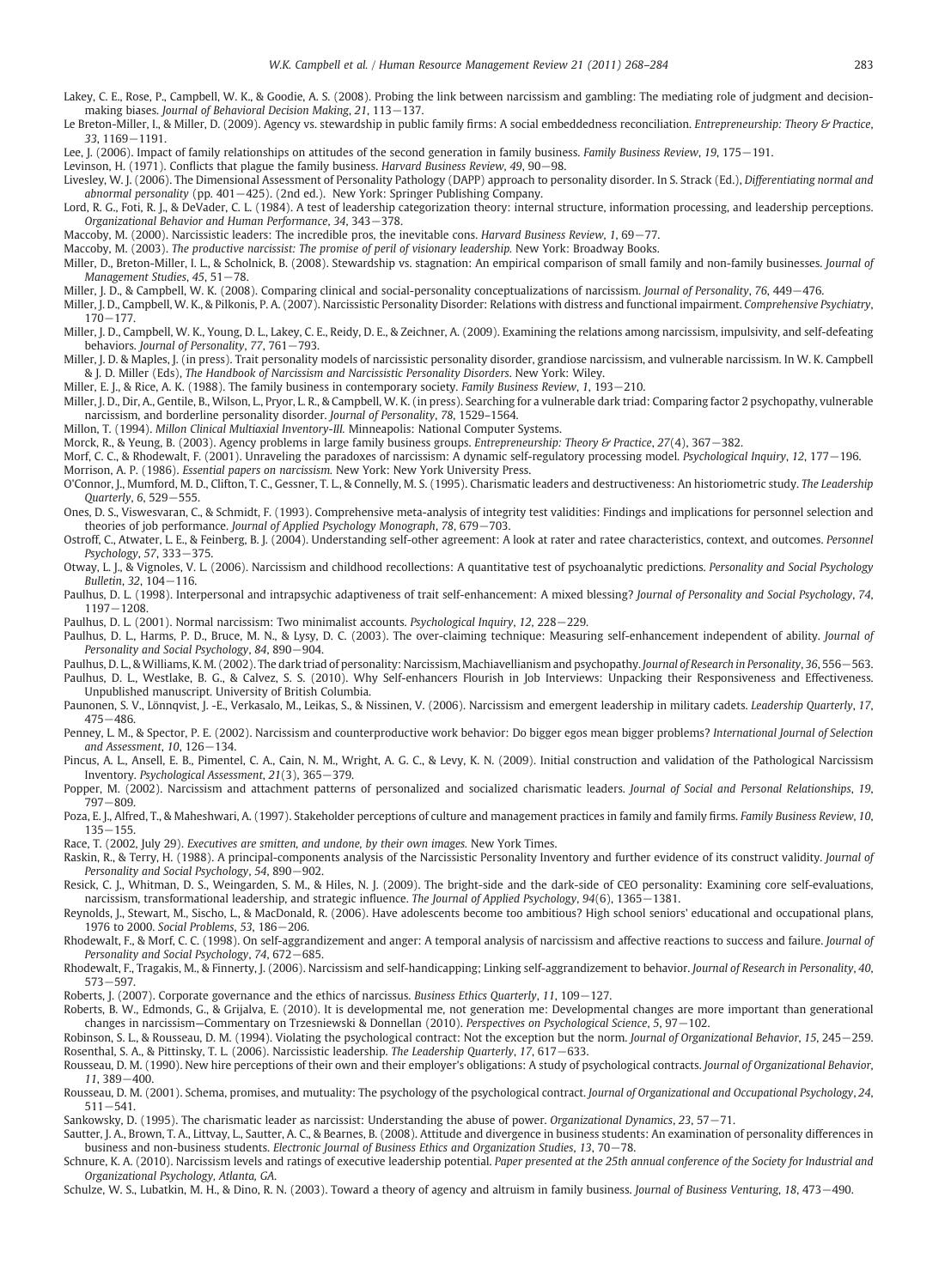- <span id="page-15-0"></span>Lakey, C. E., Rose, P., Campbell, W. K., & Goodie, A. S. (2008). Probing the link between narcissism and gambling: The mediating role of judgment and decisionmaking biases. Journal of Behavioral Decision Making, 21, 113−137.
- Le Breton-Miller, I., & Miller, D. (2009). Agency vs. stewardship in public family firms: A social embeddedness reconciliation. Entrepreneurship: Theory & Practice, 33, 1169−1191.
- Lee, J. (2006). Impact of family relationships on attitudes of the second generation in family business. Family Business Review, 19, 175−191.

Levinson, H. (1971). Conflicts that plague the family business. Harvard Business Review, 49, 90−98.

- Livesley, W. J. (2006). The Dimensional Assessment of Personality Pathology (DAPP) approach to personality disorder. In S. Strack (Ed.), Differentiating normal and abnormal personality (pp. 401−425). (2nd ed.). New York: Springer Publishing Company.
- Lord, R. G., Foti, R. J., & DeVader, C. L. (1984). A test of leadership categorization theory: internal structure, information processing, and leadership perceptions. Organizational Behavior and Human Performance, 34, 343−378.
- Maccoby, M. (2000). Narcissistic leaders: The incredible pros, the inevitable cons. Harvard Business Review, 1, 69−77.
- Maccoby, M. (2003). The productive narcissist: The promise of peril of visionary leadership. New York: Broadway Books.
- Miller, D., Breton-Miller, I. L., & Scholnick, B. (2008). Stewardship vs. stagnation: An empirical comparison of small family and non-family businesses. Journal of Management Studies, 45, 51−78.
- Miller, J. D., & Campbell, W. K. (2008). Comparing clinical and social-personality conceptualizations of narcissism. Journal of Personality, 76, 449-476.
- Miller, J. D., Campbell, W. K., & Pilkonis, P. A. (2007). Narcissistic Personality Disorder: Relations with distress and functional impairment. Comprehensive Psychiatry, 170−177.
- Miller, J. D., Campbell, W. K., Young, D. L., Lakey, C. E., Reidy, D. E., & Zeichner, A. (2009). Examining the relations among narcissism, impulsivity, and self-defeating behaviors. Journal of Personality, 77, 761−793.
- Miller, J. D. & Maples, J. (in press). Trait personality models of narcissistic personality disorder, grandiose narcissism, and vulnerable narcissism. In W. K. Campbell & J. D. Miller (Eds), The Handbook of Narcissism and Narcissistic Personality Disorders. New York: Wiley.

Miller, E. J., & Rice, A. K. (1988). The family business in contemporary society. Family Business Review, 1, 193−210.

- Miller, J. D., Dir, A., Gentile, B., Wilson, L., Pryor, L. R., & Campbell, W. K. (in press). Searching for a vulnerable dark triad: Comparing factor 2 psychopathy, vulnerable narcissism, and borderline personality disorder. Journal of Personality, 78, 1529–1564.
- Millon, T. (1994). Millon Clinical Multiaxial Inventory-III. Minneapolis: National Computer Systems.

Morck, R., & Yeung, B. (2003). Agency problems in large family business groups. Entrepreneurship: Theory & Practice, 27(4), 367−382.

- Morf, C. C., & Rhodewalt, F. (2001). Unraveling the paradoxes of narcissism: A dynamic self-regulatory processing model. Psychological Inquiry, 12, 177−196. Morrison, A. P. (1986). Essential papers on narcissism. New York: New York University Press.
- O'Connor, J., Mumford, M. D., Clifton, T. C., Gessner, T. L., & Connelly, M. S. (1995). Charismatic leaders and destructiveness: An historiometric study. The Leadership Quarterly, 6, 529−555.
- Ones, D. S., Viswesvaran, C., & Schmidt, F. (1993). Comprehensive meta-analysis of integrity test validities: Findings and implications for personnel selection and theories of job performance. Journal of Applied Psychology Monograph, 78, 679−703.
- Ostroff, C., Atwater, L. E., & Feinberg, B. J. (2004). Understanding self-other agreement: A look at rater and ratee characteristics, context, and outcomes. Personnel Psychology, 57, 333−375.
- Otway, L. J., & Vignoles, V. L. (2006). Narcissism and childhood recollections: A quantitative test of psychoanalytic predictions. Personality and Social Psychology Bulletin, 32, 104−116.
- Paulhus, D. L. (1998). Interpersonal and intrapsychic adaptiveness of trait self-enhancement: A mixed blessing? Journal of Personality and Social Psychology, 74, 1197−1208.

Paulhus, D. L. (2001). Normal narcissism: Two minimalist accounts. Psychological Inquiry, 12, 228−229.

- Paulhus, D. L., Harms, P. D., Bruce, M. N., & Lysy, D. C. (2003). The over-claiming technique: Measuring self-enhancement independent of ability. Journal of Personality and Social Psychology, 84, 890−904.
- Paulhus, D. L., & Williams, K. M. (2002). The dark triad of personality: Narcissism, Machiavellianism and psychopathy. Journal of Research in Personality, 36, 556−563. Paulhus, D. L., Westlake, B. G., & Calvez, S. S. (2010). Why Self-enhancers Flourish in Job Interviews: Unpacking their Responsiveness and Effectiveness. Unpublished manuscript. University of British Columbia.
- Paunonen, S. V., Lönnqvist, I. -E., Verkasalo, M., Leikas, S., & Nissinen, V. (2006). Narcissism and emergent leadership in military cadets. Leadership Quarterly, 17, 475−486.
- Penney, L. M., & Spector, P. E. (2002). Narcissism and counterproductive work behavior: Do bigger egos mean bigger problems? International Journal of Selection and Assessment, 10, 126−134.

Pincus, A. L., Ansell, E. B., Pimentel, C. A., Cain, N. M., Wright, A. G. C., & Levy, K. N. (2009). Initial construction and validation of the Pathological Narcissism Inventory. Psychological Assessment, 21(3), 365−379.

- Popper, M. (2002). Narcissism and attachment patterns of personalized and socialized charismatic leaders. Journal of Social and Personal Relationships, 19, 797−809.
- Poza, E. J., Alfred, T., & Maheshwari, A. (1997). Stakeholder perceptions of culture and management practices in family and family firms. Family Business Review, 10, 135−155.
- Race, T. (2002, July 29). Executives are smitten, and undone, by their own images. New York Times.
- Raskin, R., & Terry, H. (1988). A principal-components analysis of the Narcissistic Personality Inventory and further evidence of its construct validity. Journal of Personality and Social Psychology, 54, 890-902.
- Resick, C. J., Whitman, D. S., Weingarden, S. M., & Hiles, N. J. (2009). The bright-side and the dark-side of CEO personality: Examining core self-evaluations, narcissism, transformational leadership, and strategic influence. The Journal of Applied Psychology, 94(6), 1365−1381.
- Reynolds, J., Stewart, M., Sischo, L., & MacDonald, R. (2006). Have adolescents become too ambitious? High school seniors' educational and occupational plans, 1976 to 2000. Social Problems, 53, 186−206.
- Rhodewalt, F., & Morf, C. C. (1998). On self-aggrandizement and anger: A temporal analysis of narcissism and affective reactions to success and failure. Journal of Personality and Social Psychology, 74, 672−685.
- Rhodewalt, F., Tragakis, M., & Finnerty, J. (2006). Narcissism and self-handicapping; Linking self-aggrandizement to behavior. Journal of Research in Personality, 40, 573−597.

Roberts, J. (2007). Corporate governance and the ethics of narcissus. Business Ethics Quarterly, 11, 109−127.

- Roberts, B. W., Edmonds, G., & Grijalva, E. (2010). It is developmental me, not generation me: Developmental changes are more important than generational changes in narcissism—Commentary on Trzesniewski & Donnellan (2010). Perspectives on Psychological Science, 5, 97−102.
- Robinson, S. L., & Rousseau, D. M. (1994). Violating the psychological contract: Not the exception but the norm. Journal of Organizational Behavior, 15, 245−259. Rosenthal, S. A., & Pittinsky, T. L. (2006). Narcissistic leadership. The Leadership Quarterly, 17, 617−633.
- Rousseau, D. M. (1990). New hire perceptions of their own and their employer's obligations: A study of psychological contracts. Journal of Organizational Behavior, 11, 389−400.
- Rousseau, D. M. (2001). Schema, promises, and mutuality: The psychology of the psychological contract. Journal of Organizational and Occupational Psychology, 24, 511−541.
- Sankowsky, D. (1995). The charismatic leader as narcissist: Understanding the abuse of power. Organizational Dynamics, 23, 57−71.
- Sautter, J. A., Brown, T. A., Littvay, L., Sautter, A. C., & Bearnes, B. (2008). Attitude and divergence in business students: An examination of personality differences in business and non-business students. Electronic Journal of Business Ethics and Organization Studies, 13, 70−78.
- Schnure, K. A. (2010). Narcissism levels and ratings of executive leadership potential. Paper presented at the 25th annual conference of the Society for Industrial and Organizational Psychology, Atlanta, GA.

Schulze, W. S., Lubatkin, M. H., & Dino, R. N. (2003). Toward a theory of agency and altruism in family business. Journal of Business Venturing, 18, 473−490.